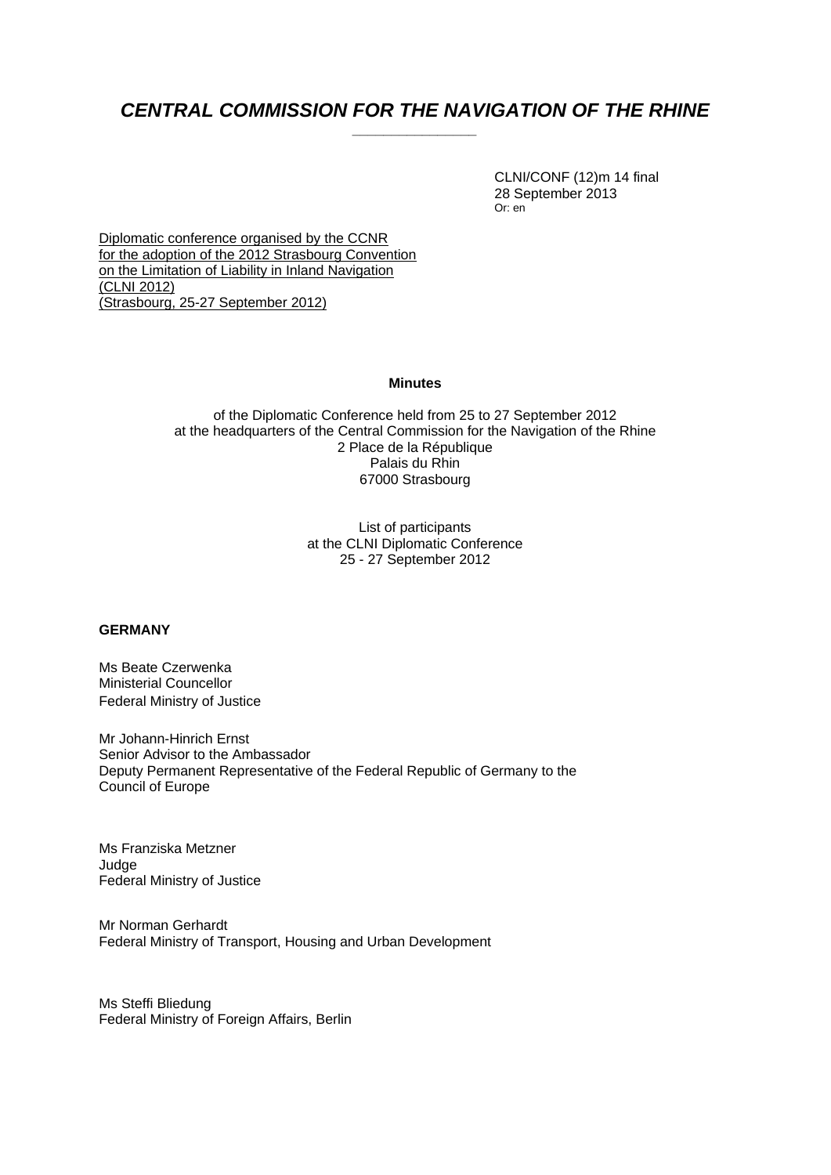# CENTRAL COMMISSION FOR THE NAVIGATION OF THE RHINE

 CLNI/CONF (12)m 14 final 28 September 2013 Or: en

Diplomatic conference organised by the CCNR for the adoption of the 2012 Strasbourg Convention on the Limitation of Liability in Inland Navigation (CLNI 2012) (Strasbourg, 25-27 September 2012)

#### **Minutes**

of the Diplomatic Conference held from 25 to 27 September 2012 at the headquarters of the Central Commission for the Navigation of the Rhine 2 Place de la République Palais du Rhin 67000 Strasbourg

> List of participants at the CLNI Diplomatic Conference 25 - 27 September 2012

#### **GERMANY**

Ms Beate Czerwenka Ministerial Councellor Federal Ministry of Justice

Mr Johann-Hinrich Ernst Senior Advisor to the Ambassador Deputy Permanent Representative of the Federal Republic of Germany to the Council of Europe

Ms Franziska Metzner Judge Federal Ministry of Justice

Mr Norman Gerhardt Federal Ministry of Transport, Housing and Urban Development

Ms Steffi Bliedung Federal Ministry of Foreign Affairs, Berlin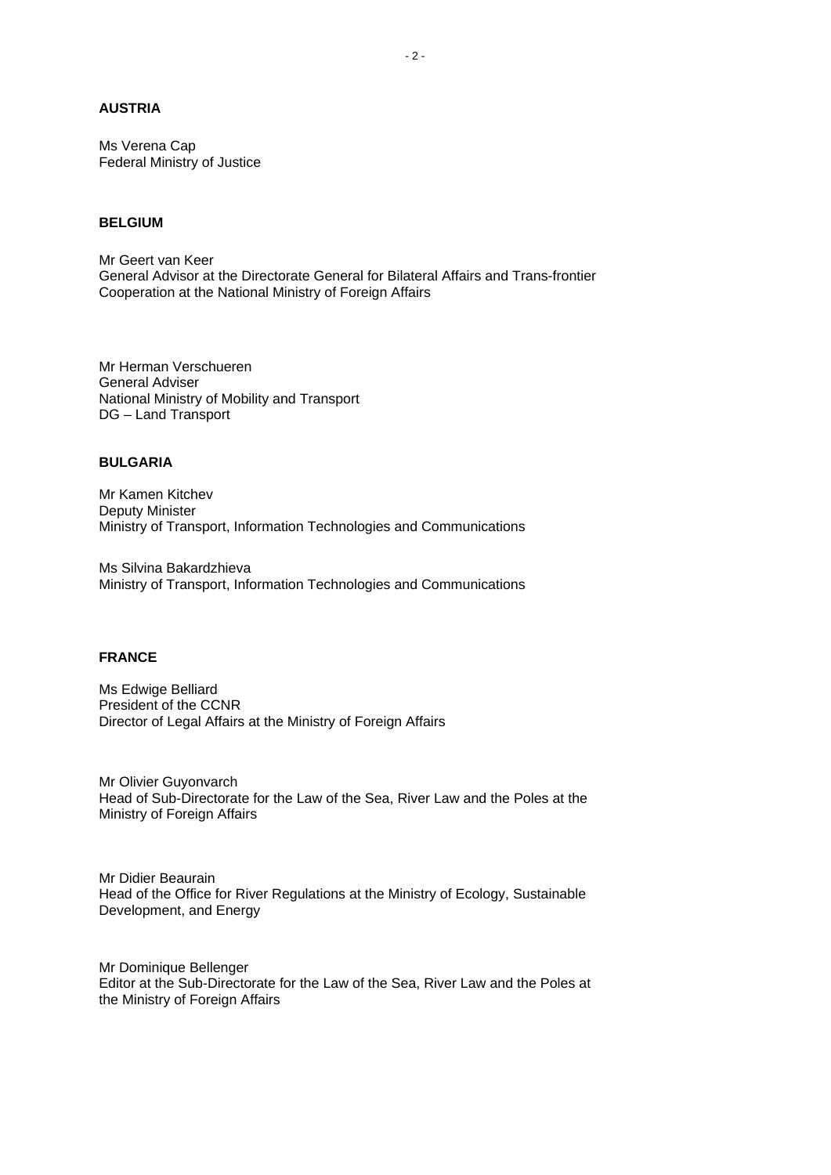## **AUSTRIA**

Ms Verena Cap Federal Ministry of Justice

# **BELGIUM**

Mr Geert van Keer General Advisor at the Directorate General for Bilateral Affairs and Trans-frontier Cooperation at the National Ministry of Foreign Affairs

Mr Herman Verschueren General Adviser National Ministry of Mobility and Transport DG – Land Transport

#### **BULGARIA**

Mr Kamen Kitchev Deputy Minister Ministry of Transport, Information Technologies and Communications

Ms Silvina Bakardzhieva Ministry of Transport, Information Technologies and Communications

#### **FRANCE**

Ms Edwige Belliard President of the CCNR Director of Legal Affairs at the Ministry of Foreign Affairs

Mr Olivier Guyonvarch Head of Sub-Directorate for the Law of the Sea, River Law and the Poles at the Ministry of Foreign Affairs

Mr Didier Beaurain Head of the Office for River Regulations at the Ministry of Ecology, Sustainable Development, and Energy

Mr Dominique Bellenger Editor at the Sub-Directorate for the Law of the Sea, River Law and the Poles at the Ministry of Foreign Affairs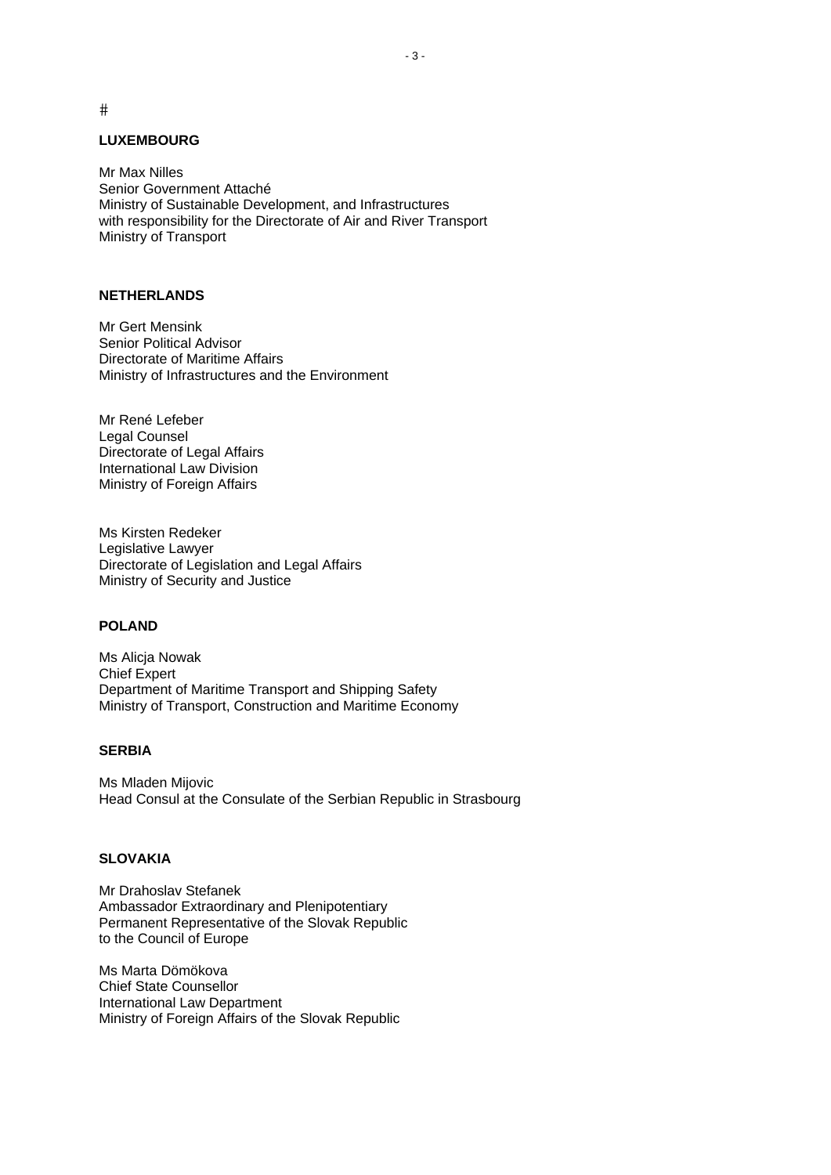$#$ 

#### **LUXEMBOURG**

Mr Max Nilles Senior Government Attaché Ministry of Sustainable Development, and Infrastructures with responsibility for the Directorate of Air and River Transport Ministry of Transport

#### **NETHERLANDS**

Mr Gert Mensink Senior Political Advisor Directorate of Maritime Affairs Ministry of Infrastructures and the Environment

Mr René Lefeber Legal Counsel Directorate of Legal Affairs International Law Division Ministry of Foreign Affairs

Ms Kirsten Redeker Legislative Lawyer Directorate of Legislation and Legal Affairs Ministry of Security and Justice

#### **POLAND**

Ms Alicja Nowak Chief Expert Department of Maritime Transport and Shipping Safety Ministry of Transport, Construction and Maritime Economy

#### **SERBIA**

Ms Mladen Mijovic Head Consul at the Consulate of the Serbian Republic in Strasbourg

#### **SLOVAKIA**

Mr Drahoslav Stefanek Ambassador Extraordinary and Plenipotentiary Permanent Representative of the Slovak Republic to the Council of Europe

Ms Marta Dömökova Chief State Counsellor International Law Department Ministry of Foreign Affairs of the Slovak Republic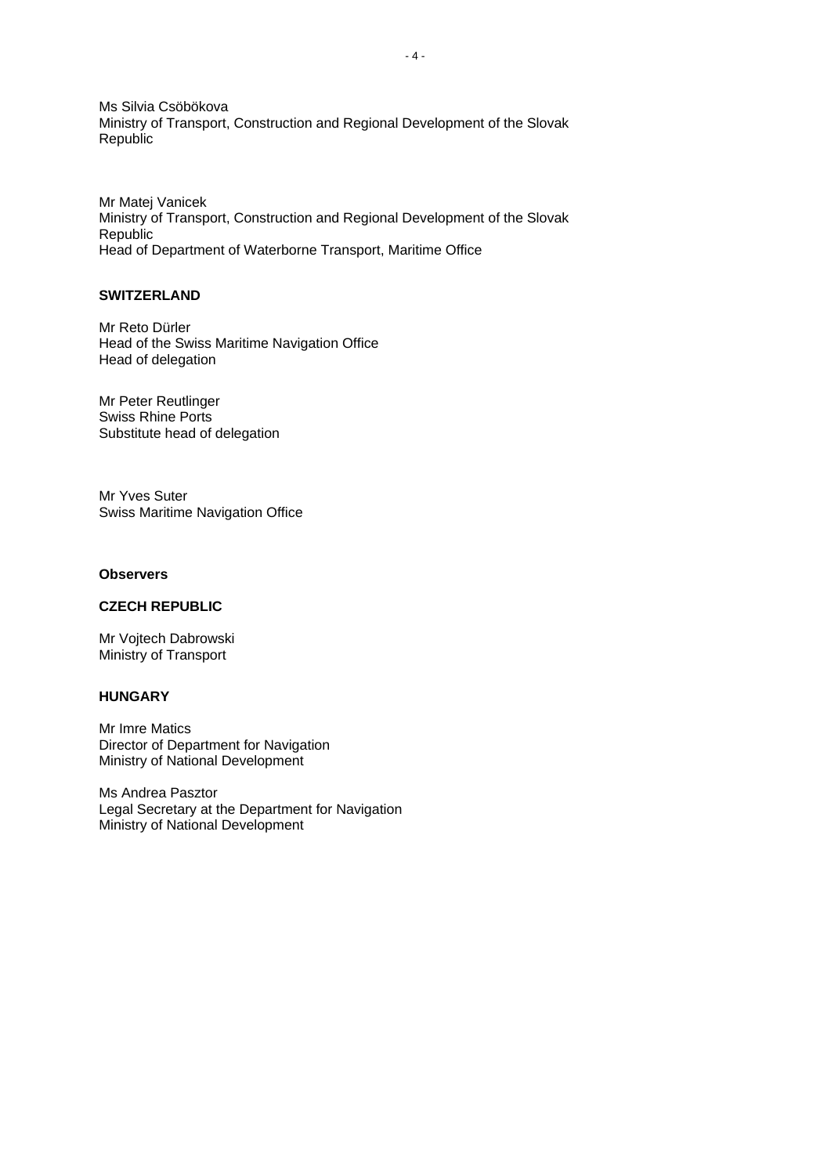Ms Silvia Csöbökova Ministry of Transport, Construction and Regional Development of the Slovak Republic

Mr Matej Vanicek Ministry of Transport, Construction and Regional Development of the Slovak Republic Head of Department of Waterborne Transport, Maritime Office

## **SWITZERLAND**

Mr Reto Dürler Head of the Swiss Maritime Navigation Office Head of delegation

Mr Peter Reutlinger Swiss Rhine Ports Substitute head of delegation

Mr Yves Suter Swiss Maritime Navigation Office

#### **Observers**

#### **CZECH REPUBLIC**

Mr Vojtech Dabrowski Ministry of Transport

# **HUNGARY**

Mr Imre Matics Director of Department for Navigation Ministry of National Development

Ms Andrea Pasztor Legal Secretary at the Department for Navigation Ministry of National Development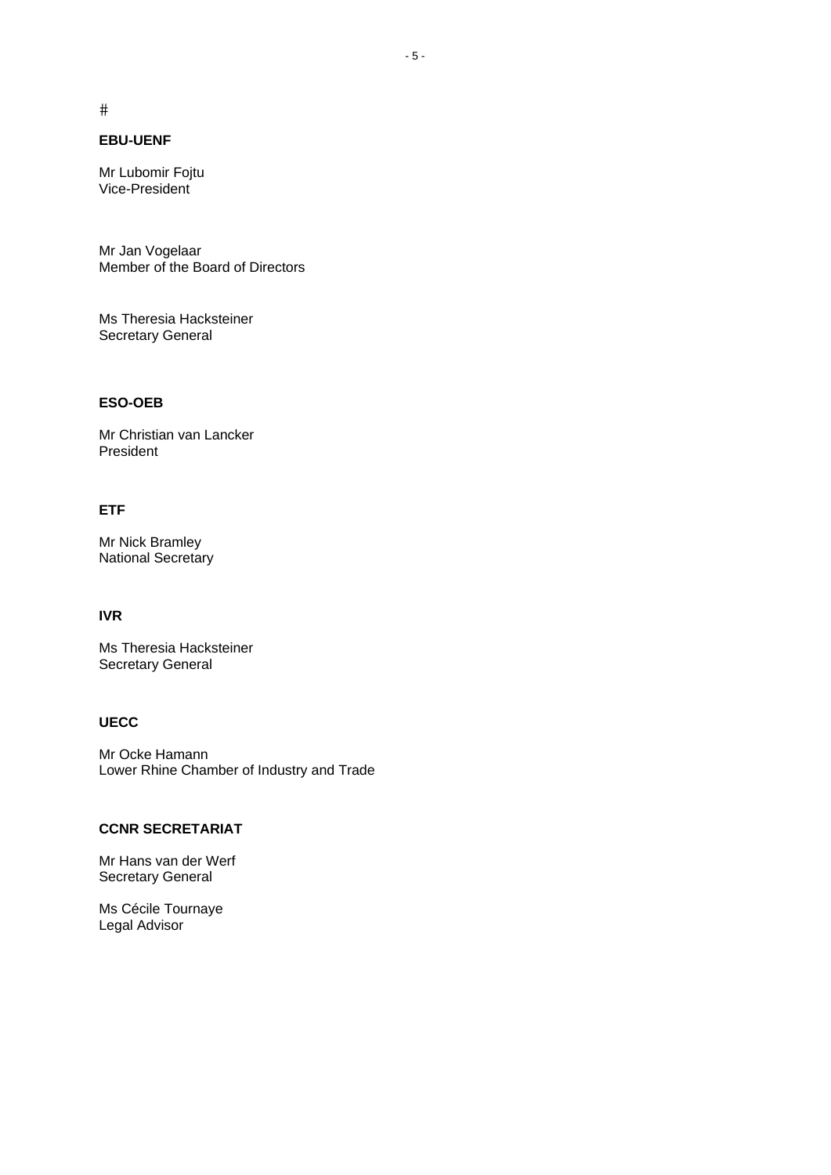$#$ 

# **EBU-UENF**

Mr Lubomir Fojtu Vice-President

Mr Jan Vogelaar Member of the Board of Directors

Ms Theresia Hacksteiner Secretary General

## **ESO-OEB**

Mr Christian van Lancker President

#### **ETF**

Mr Nick Bramley National Secretary

## **IVR**

Ms Theresia Hacksteiner Secretary General

## **UECC**

Mr Ocke Hamann Lower Rhine Chamber of Industry and Trade

# **CCNR SECRETARIAT**

Mr Hans van der Werf Secretary General

Ms Cécile Tournaye Legal Advisor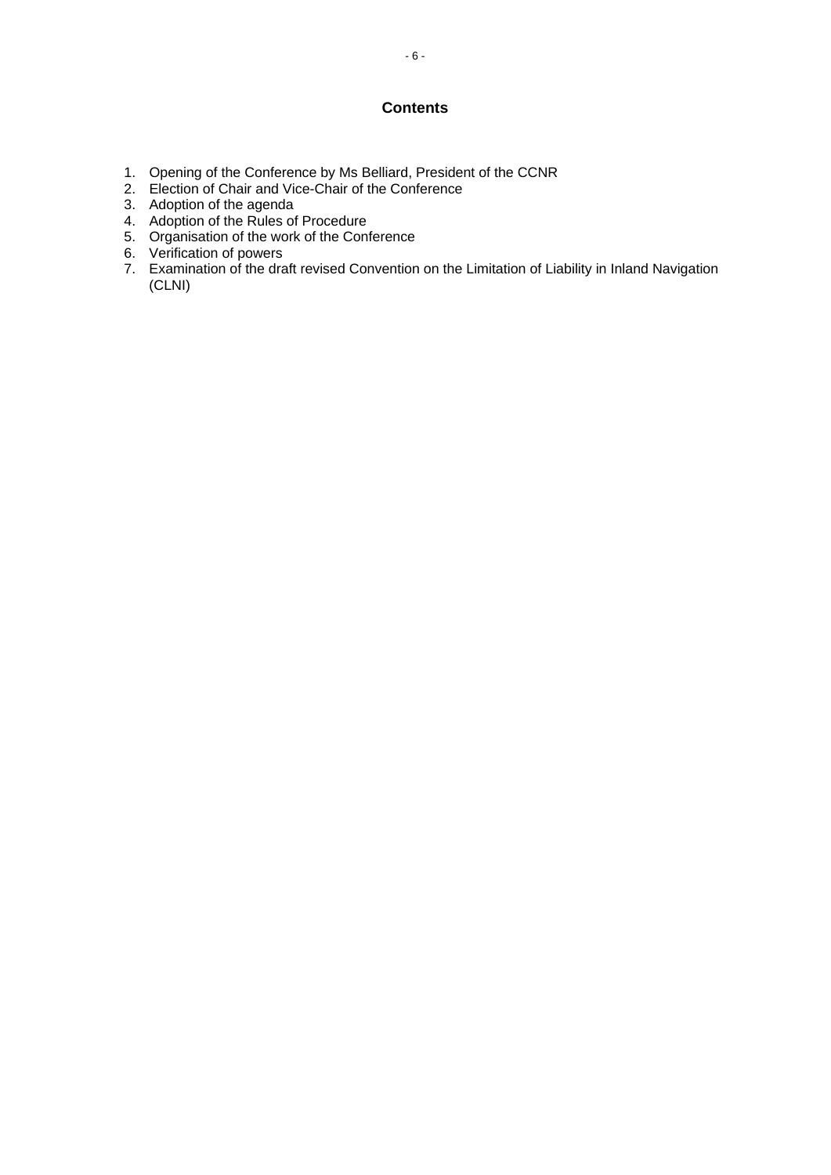# **Contents**

- 1. Opening of the Conference by Ms Belliard, President of the CCNR
- 2. Election of Chair and Vice-Chair of the Conference
- 3. Adoption of the agenda
- 4. Adoption of the Rules of Procedure
- 5. Organisation of the work of the Conference
- 6. Verification of powers
- 7. Examination of the draft revised Convention on the Limitation of Liability in Inland Navigation (CLNI)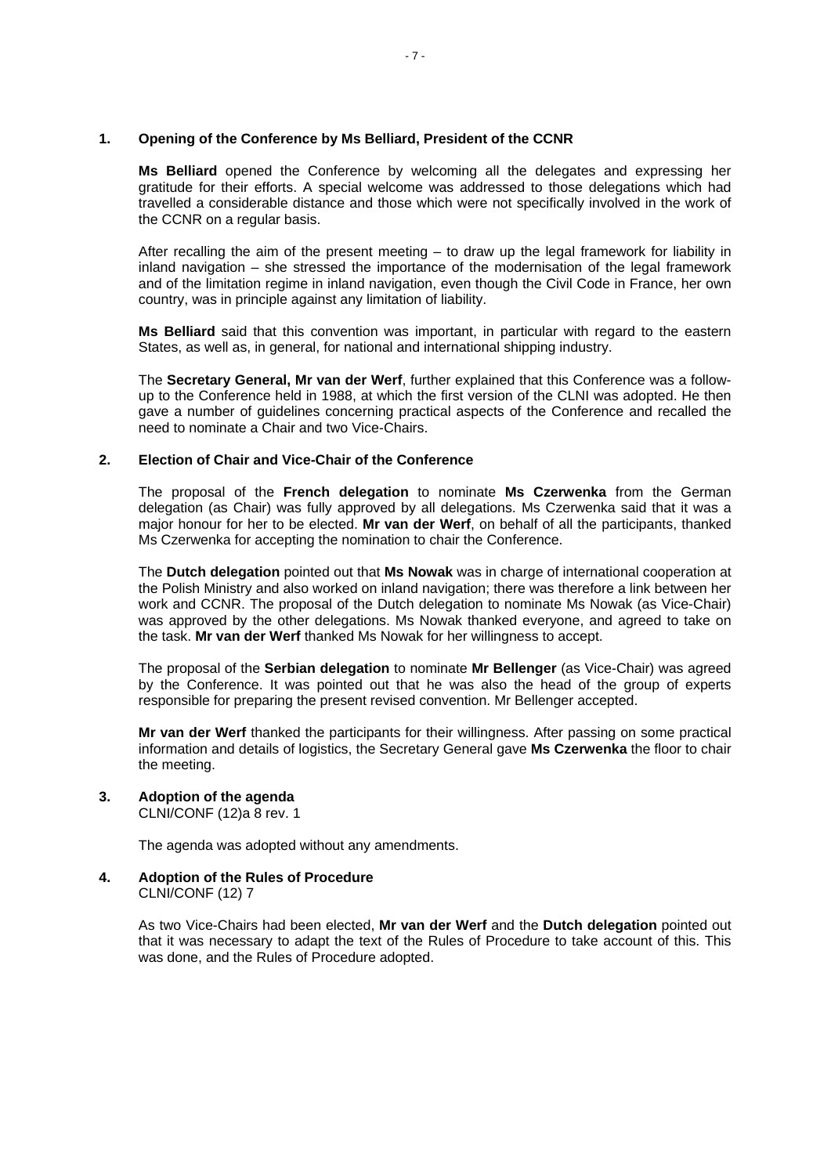#### **1. Opening of the Conference by Ms Belliard, President of the CCNR**

 **Ms Belliard** opened the Conference by welcoming all the delegates and expressing her gratitude for their efforts. A special welcome was addressed to those delegations which had travelled a considerable distance and those which were not specifically involved in the work of the CCNR on a regular basis.

After recalling the aim of the present meeting  $-$  to draw up the legal framework for liability in inland navigation – she stressed the importance of the modernisation of the legal framework and of the limitation regime in inland navigation, even though the Civil Code in France, her own country, was in principle against any limitation of liability.

**Ms Belliard** said that this convention was important, in particular with regard to the eastern States, as well as, in general, for national and international shipping industry.

 The **Secretary General, Mr van der Werf**, further explained that this Conference was a followup to the Conference held in 1988, at which the first version of the CLNI was adopted. He then gave a number of guidelines concerning practical aspects of the Conference and recalled the need to nominate a Chair and two Vice-Chairs.

## **2. Election of Chair and Vice-Chair of the Conference**

The proposal of the **French delegation** to nominate **Ms Czerwenka** from the German delegation (as Chair) was fully approved by all delegations. Ms Czerwenka said that it was a major honour for her to be elected. **Mr van der Werf**, on behalf of all the participants, thanked Ms Czerwenka for accepting the nomination to chair the Conference.

The **Dutch delegation** pointed out that **Ms Nowak** was in charge of international cooperation at the Polish Ministry and also worked on inland navigation; there was therefore a link between her work and CCNR. The proposal of the Dutch delegation to nominate Ms Nowak (as Vice-Chair) was approved by the other delegations. Ms Nowak thanked everyone, and agreed to take on the task. **Mr van der Werf** thanked Ms Nowak for her willingness to accept.

The proposal of the **Serbian delegation** to nominate **Mr Bellenger** (as Vice-Chair) was agreed by the Conference. It was pointed out that he was also the head of the group of experts responsible for preparing the present revised convention. Mr Bellenger accepted.

**Mr van der Werf** thanked the participants for their willingness. After passing on some practical information and details of logistics, the Secretary General gave **Ms Czerwenka** the floor to chair the meeting.

# **3. Adoption of the agenda**

CLNI/CONF (12)a 8 rev. 1

The agenda was adopted without any amendments.

#### **4. Adoption of the Rules of Procedure**  CLNI/CONF (12) 7

As two Vice-Chairs had been elected, **Mr van der Werf** and the **Dutch delegation** pointed out that it was necessary to adapt the text of the Rules of Procedure to take account of this. This was done, and the Rules of Procedure adopted.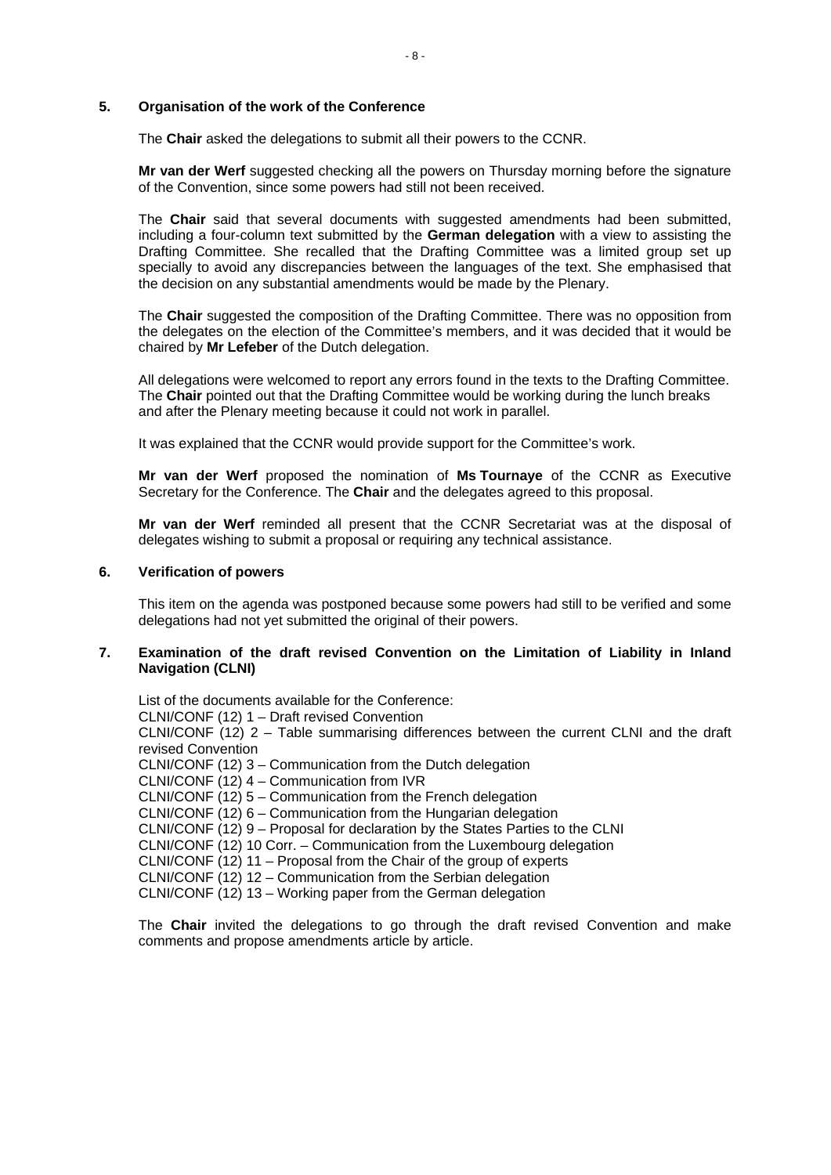#### **5. Organisation of the work of the Conference**

The **Chair** asked the delegations to submit all their powers to the CCNR.

**Mr van der Werf** suggested checking all the powers on Thursday morning before the signature of the Convention, since some powers had still not been received.

The **Chair** said that several documents with suggested amendments had been submitted, including a four-column text submitted by the **German delegation** with a view to assisting the Drafting Committee. She recalled that the Drafting Committee was a limited group set up specially to avoid any discrepancies between the languages of the text. She emphasised that the decision on any substantial amendments would be made by the Plenary.

The **Chair** suggested the composition of the Drafting Committee. There was no opposition from the delegates on the election of the Committee's members, and it was decided that it would be chaired by **Mr Lefeber** of the Dutch delegation.

All delegations were welcomed to report any errors found in the texts to the Drafting Committee. The **Chair** pointed out that the Drafting Committee would be working during the lunch breaks and after the Plenary meeting because it could not work in parallel.

It was explained that the CCNR would provide support for the Committee's work.

**Mr van der Werf** proposed the nomination of **Ms Tournaye** of the CCNR as Executive Secretary for the Conference. The **Chair** and the delegates agreed to this proposal.

**Mr van der Werf** reminded all present that the CCNR Secretariat was at the disposal of delegates wishing to submit a proposal or requiring any technical assistance.

#### **6. Verification of powers**

This item on the agenda was postponed because some powers had still to be verified and some delegations had not yet submitted the original of their powers.

#### **7. Examination of the draft revised Convention on the Limitation of Liability in Inland Navigation (CLNI)**

List of the documents available for the Conference: CLNI/CONF (12) 1 – Draft revised Convention CLNI/CONF (12) 2 – Table summarising differences between the current CLNI and the draft revised Convention CLNI/CONF (12) 3 – Communication from the Dutch delegation CLNI/CONF (12) 4 – Communication from IVR CLNI/CONF (12) 5 – Communication from the French delegation CLNI/CONF (12) 6 – Communication from the Hungarian delegation CLNI/CONF (12) 9 – Proposal for declaration by the States Parties to the CLNI CLNI/CONF (12) 10 Corr. – Communication from the Luxembourg delegation CLNI/CONF (12) 11 – Proposal from the Chair of the group of experts CLNI/CONF (12) 12 – Communication from the Serbian delegation CLNI/CONF (12) 13 – Working paper from the German delegation

The **Chair** invited the delegations to go through the draft revised Convention and make comments and propose amendments article by article.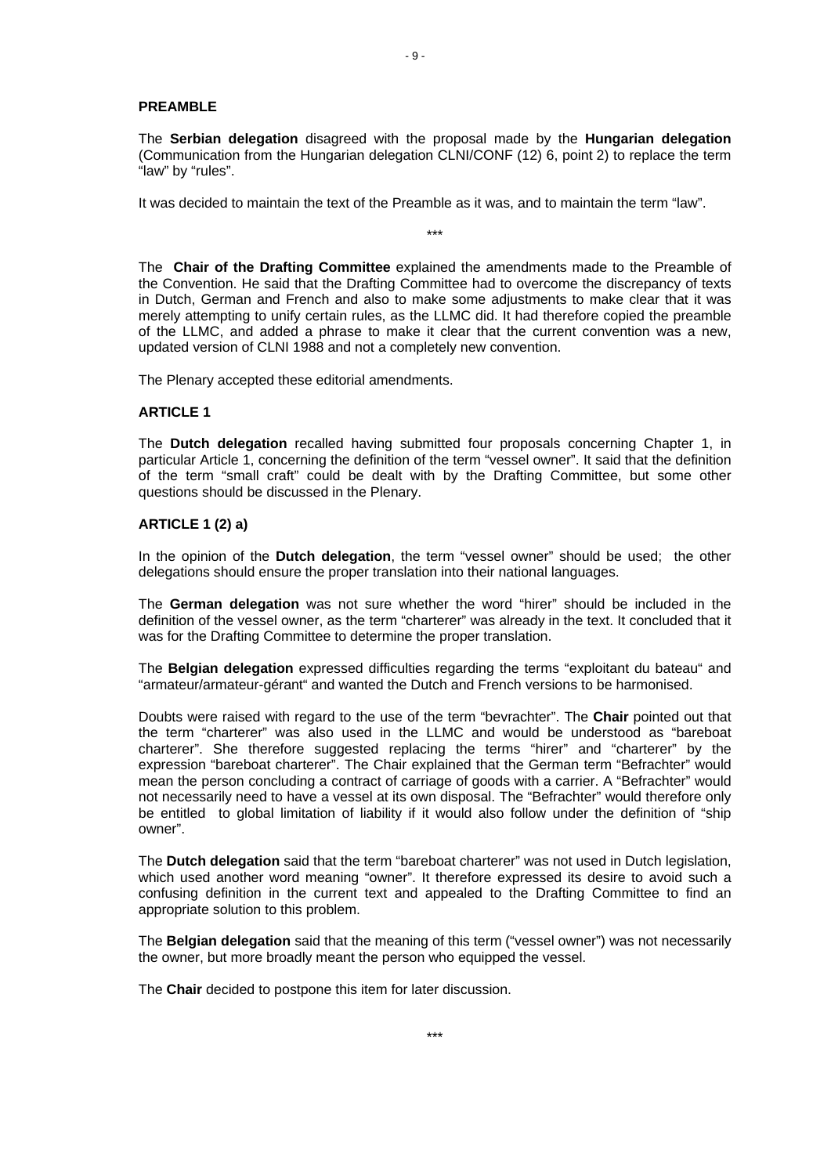#### **PREAMBLE**

The **Serbian delegation** disagreed with the proposal made by the **Hungarian delegation** (Communication from the Hungarian delegation CLNI/CONF (12) 6, point 2) to replace the term "law" by "rules".

It was decided to maintain the text of the Preamble as it was, and to maintain the term "law".

The **Chair of the Drafting Committee** explained the amendments made to the Preamble of the Convention. He said that the Drafting Committee had to overcome the discrepancy of texts in Dutch, German and French and also to make some adjustments to make clear that it was merely attempting to unify certain rules, as the LLMC did. It had therefore copied the preamble of the LLMC, and added a phrase to make it clear that the current convention was a new, updated version of CLNI 1988 and not a completely new convention.

\*\*\*

The Plenary accepted these editorial amendments.

#### **ARTICLE 1**

The **Dutch delegation** recalled having submitted four proposals concerning Chapter 1, in particular Article 1, concerning the definition of the term "vessel owner". It said that the definition of the term "small craft" could be dealt with by the Drafting Committee, but some other questions should be discussed in the Plenary.

#### **ARTICLE 1 (2) a)**

In the opinion of the **Dutch delegation**, the term "vessel owner" should be used; the other delegations should ensure the proper translation into their national languages.

The **German delegation** was not sure whether the word "hirer" should be included in the definition of the vessel owner, as the term "charterer" was already in the text. It concluded that it was for the Drafting Committee to determine the proper translation.

The **Belgian delegation** expressed difficulties regarding the terms "exploitant du bateau" and "armateur/armateur-gérant" and wanted the Dutch and French versions to be harmonised.

Doubts were raised with regard to the use of the term "bevrachter". The **Chair** pointed out that the term "charterer" was also used in the LLMC and would be understood as "bareboat charterer". She therefore suggested replacing the terms "hirer" and "charterer" by the expression "bareboat charterer". The Chair explained that the German term "Befrachter" would mean the person concluding a contract of carriage of goods with a carrier. A "Befrachter" would not necessarily need to have a vessel at its own disposal. The "Befrachter" would therefore only be entitled to global limitation of liability if it would also follow under the definition of "ship owner".

The **Dutch delegation** said that the term "bareboat charterer" was not used in Dutch legislation, which used another word meaning "owner". It therefore expressed its desire to avoid such a confusing definition in the current text and appealed to the Drafting Committee to find an appropriate solution to this problem.

The **Belgian delegation** said that the meaning of this term ("vessel owner") was not necessarily the owner, but more broadly meant the person who equipped the vessel.

The **Chair** decided to postpone this item for later discussion.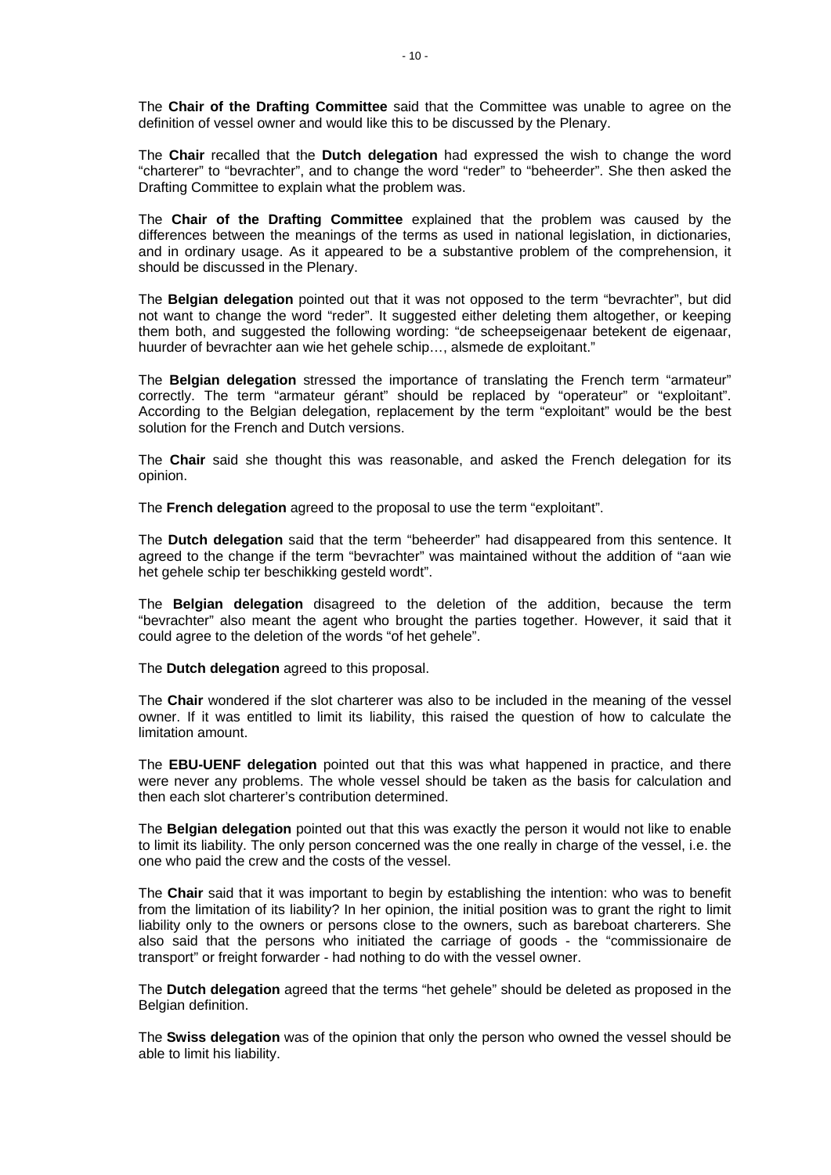The **Chair of the Drafting Committee** said that the Committee was unable to agree on the definition of vessel owner and would like this to be discussed by the Plenary.

The **Chair** recalled that the **Dutch delegation** had expressed the wish to change the word "charterer" to "bevrachter", and to change the word "reder" to "beheerder". She then asked the Drafting Committee to explain what the problem was.

The **Chair of the Drafting Committee** explained that the problem was caused by the differences between the meanings of the terms as used in national legislation, in dictionaries, and in ordinary usage. As it appeared to be a substantive problem of the comprehension, it should be discussed in the Plenary.

The **Belgian delegation** pointed out that it was not opposed to the term "bevrachter", but did not want to change the word "reder". It suggested either deleting them altogether, or keeping them both, and suggested the following wording: "de scheepseigenaar betekent de eigenaar, huurder of bevrachter aan wie het gehele schip…, alsmede de exploitant."

The **Belgian delegation** stressed the importance of translating the French term "armateur" correctly. The term "armateur gérant" should be replaced by "operateur" or "exploitant". According to the Belgian delegation, replacement by the term "exploitant" would be the best solution for the French and Dutch versions.

The **Chair** said she thought this was reasonable, and asked the French delegation for its opinion.

The **French delegation** agreed to the proposal to use the term "exploitant".

The **Dutch delegation** said that the term "beheerder" had disappeared from this sentence. It agreed to the change if the term "bevrachter" was maintained without the addition of "aan wie het gehele schip ter beschikking gesteld wordt".

The **Belgian delegation** disagreed to the deletion of the addition, because the term "bevrachter" also meant the agent who brought the parties together. However, it said that it could agree to the deletion of the words "of het gehele".

The **Dutch delegation** agreed to this proposal.

The **Chair** wondered if the slot charterer was also to be included in the meaning of the vessel owner. If it was entitled to limit its liability, this raised the question of how to calculate the limitation amount.

The **EBU-UENF delegation** pointed out that this was what happened in practice, and there were never any problems. The whole vessel should be taken as the basis for calculation and then each slot charterer's contribution determined.

The **Belgian delegation** pointed out that this was exactly the person it would not like to enable to limit its liability. The only person concerned was the one really in charge of the vessel, i.e. the one who paid the crew and the costs of the vessel.

The **Chair** said that it was important to begin by establishing the intention: who was to benefit from the limitation of its liability? In her opinion, the initial position was to grant the right to limit liability only to the owners or persons close to the owners, such as bareboat charterers. She also said that the persons who initiated the carriage of goods - the "commissionaire de transport" or freight forwarder - had nothing to do with the vessel owner.

The **Dutch delegation** agreed that the terms "het gehele" should be deleted as proposed in the Belgian definition.

The **Swiss delegation** was of the opinion that only the person who owned the vessel should be able to limit his liability.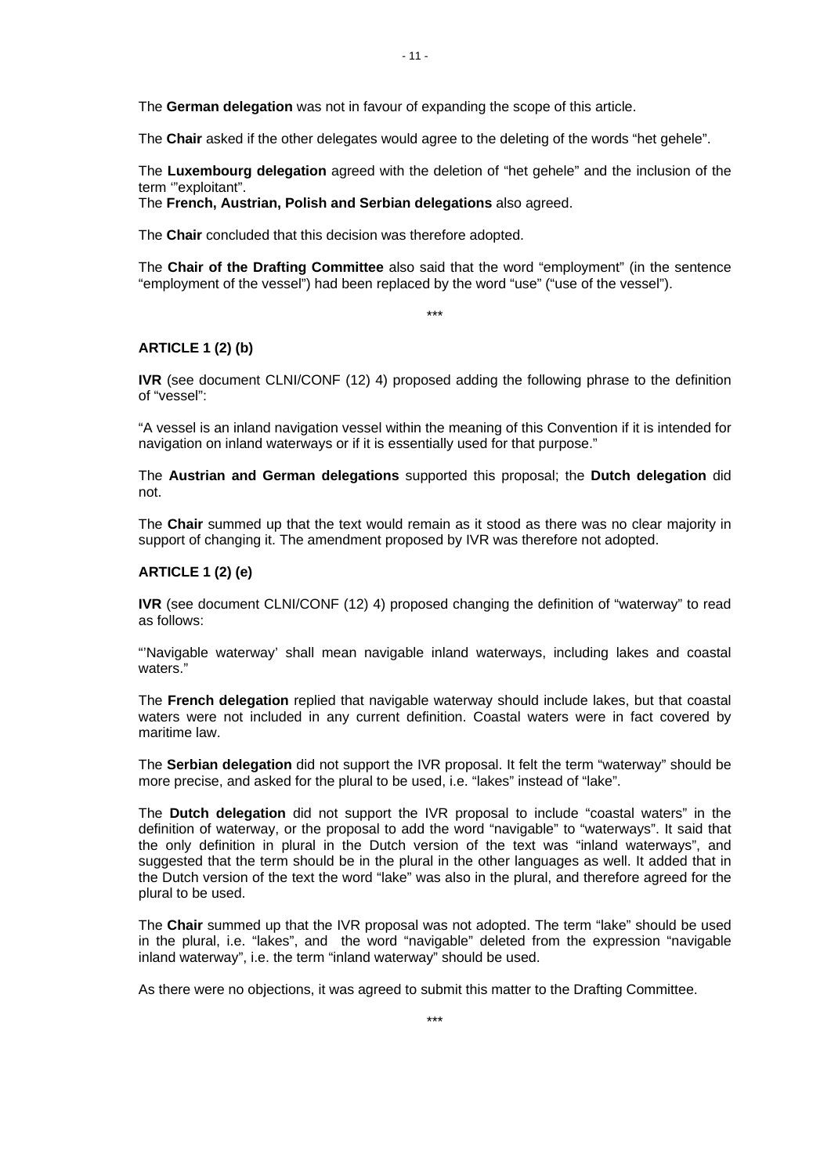The **Chair** asked if the other delegates would agree to the deleting of the words "het gehele".

The **Luxembourg delegation** agreed with the deletion of "het gehele" and the inclusion of the term '"exploitant".

The **French, Austrian, Polish and Serbian delegations** also agreed.

The **Chair** concluded that this decision was therefore adopted.

The **Chair of the Drafting Committee** also said that the word "employment" (in the sentence "employment of the vessel") had been replaced by the word "use" ("use of the vessel").

\*\*\*

#### **ARTICLE 1 (2) (b)**

**IVR** (see document CLNI/CONF (12) 4) proposed adding the following phrase to the definition of "vessel":

"A vessel is an inland navigation vessel within the meaning of this Convention if it is intended for navigation on inland waterways or if it is essentially used for that purpose."

The **Austrian and German delegations** supported this proposal; the **Dutch delegation** did not.

The **Chair** summed up that the text would remain as it stood as there was no clear majority in support of changing it. The amendment proposed by IVR was therefore not adopted.

#### **ARTICLE 1 (2) (e)**

**IVR** (see document CLNI/CONF (12) 4) proposed changing the definition of "waterway" to read as follows:

"'Navigable waterway' shall mean navigable inland waterways, including lakes and coastal waters."

The **French delegation** replied that navigable waterway should include lakes, but that coastal waters were not included in any current definition. Coastal waters were in fact covered by maritime law.

The **Serbian delegation** did not support the IVR proposal. It felt the term "waterway" should be more precise, and asked for the plural to be used, i.e. "lakes" instead of "lake".

The **Dutch delegation** did not support the IVR proposal to include "coastal waters" in the definition of waterway, or the proposal to add the word "navigable" to "waterways". It said that the only definition in plural in the Dutch version of the text was "inland waterways", and suggested that the term should be in the plural in the other languages as well. It added that in the Dutch version of the text the word "lake" was also in the plural, and therefore agreed for the plural to be used.

The **Chair** summed up that the IVR proposal was not adopted. The term "lake" should be used in the plural, i.e. "lakes", and the word "navigable" deleted from the expression "navigable inland waterway", i.e. the term "inland waterway" should be used.

As there were no objections, it was agreed to submit this matter to the Drafting Committee.

- 11 -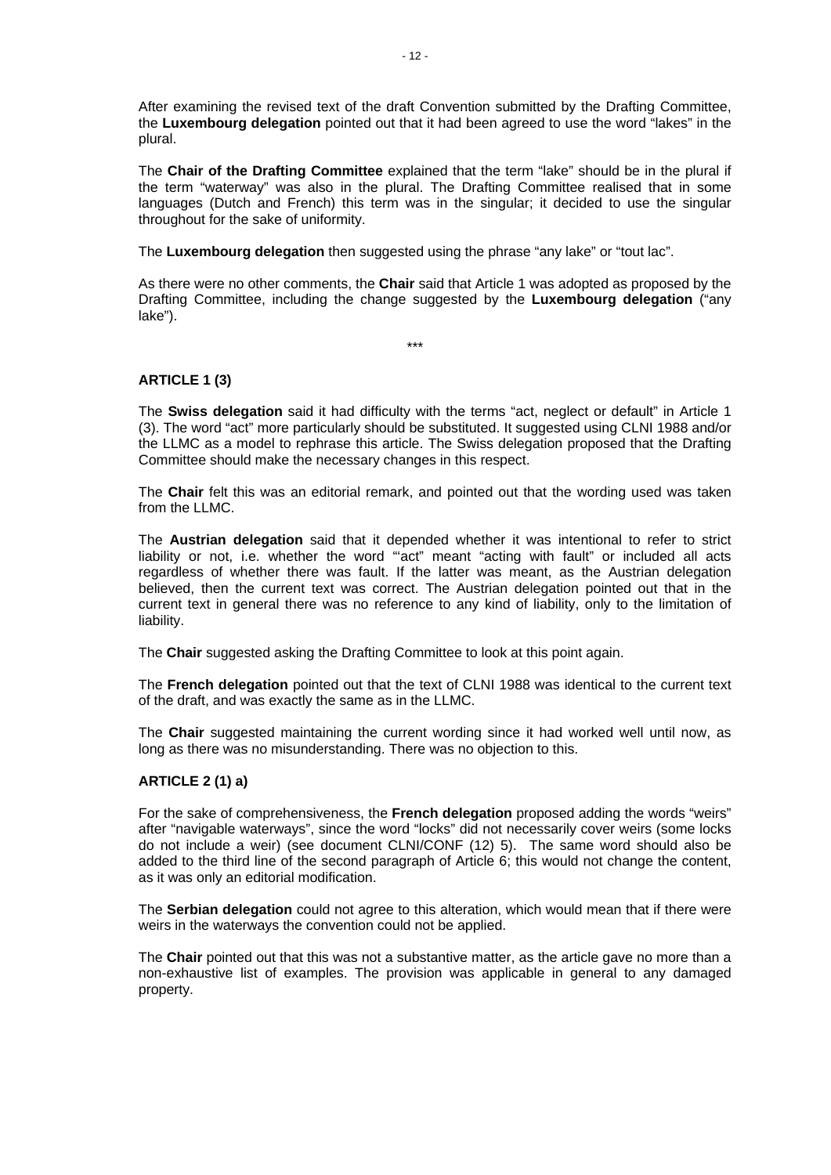After examining the revised text of the draft Convention submitted by the Drafting Committee, the **Luxembourg delegation** pointed out that it had been agreed to use the word "lakes" in the plural.

The **Chair of the Drafting Committee** explained that the term "lake" should be in the plural if the term "waterway" was also in the plural. The Drafting Committee realised that in some languages (Dutch and French) this term was in the singular; it decided to use the singular throughout for the sake of uniformity.

The **Luxembourg delegation** then suggested using the phrase "any lake" or "tout lac".

As there were no other comments, the **Chair** said that Article 1 was adopted as proposed by the Drafting Committee, including the change suggested by the **Luxembourg delegation** ("any lake").

\*\*\*

# **ARTICLE 1 (3)**

The **Swiss delegation** said it had difficulty with the terms "act, neglect or default" in Article 1 (3). The word "act" more particularly should be substituted. It suggested using CLNI 1988 and/or the LLMC as a model to rephrase this article. The Swiss delegation proposed that the Drafting Committee should make the necessary changes in this respect.

The **Chair** felt this was an editorial remark, and pointed out that the wording used was taken from the LLMC.

The **Austrian delegation** said that it depended whether it was intentional to refer to strict liability or not, i.e. whether the word "'act" meant "acting with fault" or included all acts regardless of whether there was fault. If the latter was meant, as the Austrian delegation believed, then the current text was correct. The Austrian delegation pointed out that in the current text in general there was no reference to any kind of liability, only to the limitation of liability.

The **Chair** suggested asking the Drafting Committee to look at this point again.

The **French delegation** pointed out that the text of CLNI 1988 was identical to the current text of the draft, and was exactly the same as in the LLMC.

The **Chair** suggested maintaining the current wording since it had worked well until now, as long as there was no misunderstanding. There was no objection to this.

# **ARTICLE 2 (1) a)**

For the sake of comprehensiveness, the **French delegation** proposed adding the words "weirs" after "navigable waterways", since the word "locks" did not necessarily cover weirs (some locks do not include a weir) (see document CLNI/CONF (12) 5). The same word should also be added to the third line of the second paragraph of Article 6; this would not change the content, as it was only an editorial modification.

The **Serbian delegation** could not agree to this alteration, which would mean that if there were weirs in the waterways the convention could not be applied.

The **Chair** pointed out that this was not a substantive matter, as the article gave no more than a non-exhaustive list of examples. The provision was applicable in general to any damaged property.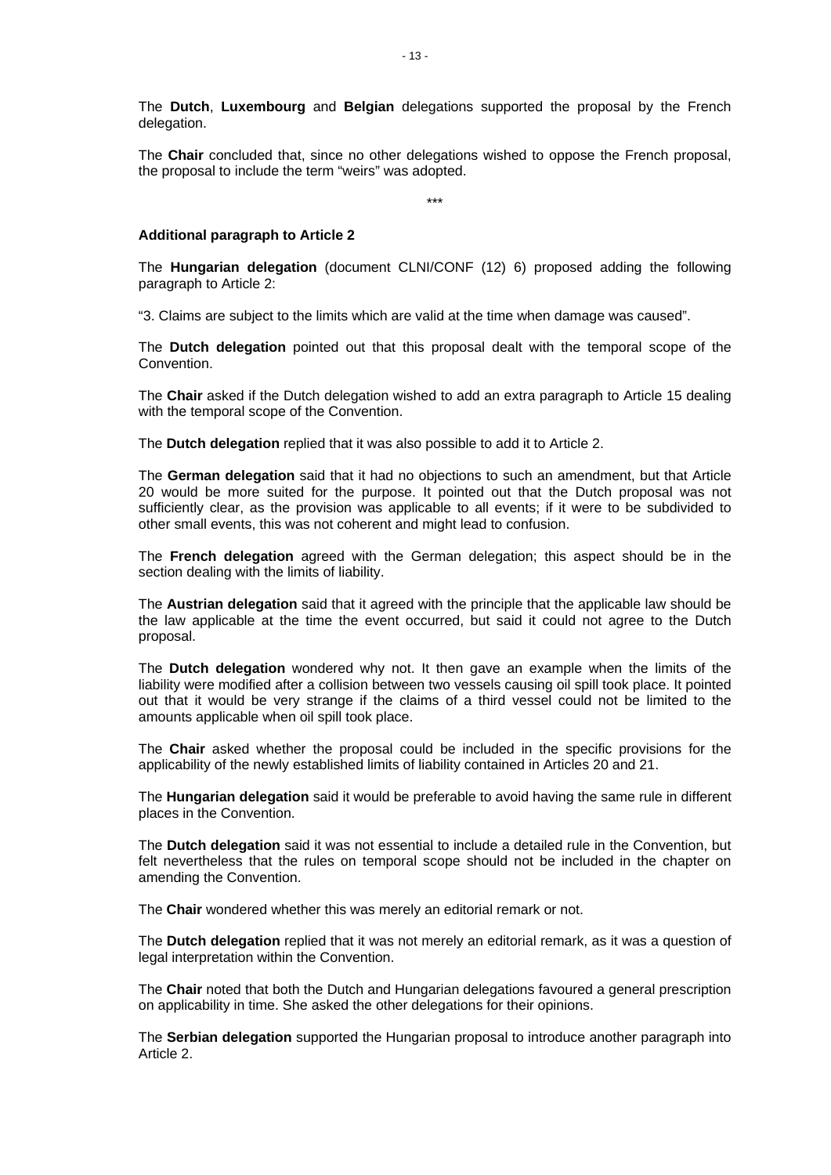The **Dutch**, **Luxembourg** and **Belgian** delegations supported the proposal by the French delegation.

The **Chair** concluded that, since no other delegations wished to oppose the French proposal, the proposal to include the term "weirs" was adopted.

\*\*\*

#### **Additional paragraph to Article 2**

The **Hungarian delegation** (document CLNI/CONF (12) 6) proposed adding the following paragraph to Article 2:

"3. Claims are subject to the limits which are valid at the time when damage was caused".

The **Dutch delegation** pointed out that this proposal dealt with the temporal scope of the Convention.

The **Chair** asked if the Dutch delegation wished to add an extra paragraph to Article 15 dealing with the temporal scope of the Convention.

The **Dutch delegation** replied that it was also possible to add it to Article 2.

The **German delegation** said that it had no objections to such an amendment, but that Article 20 would be more suited for the purpose. It pointed out that the Dutch proposal was not sufficiently clear, as the provision was applicable to all events; if it were to be subdivided to other small events, this was not coherent and might lead to confusion.

The **French delegation** agreed with the German delegation; this aspect should be in the section dealing with the limits of liability.

The **Austrian delegation** said that it agreed with the principle that the applicable law should be the law applicable at the time the event occurred, but said it could not agree to the Dutch proposal.

The **Dutch delegation** wondered why not. It then gave an example when the limits of the liability were modified after a collision between two vessels causing oil spill took place. It pointed out that it would be very strange if the claims of a third vessel could not be limited to the amounts applicable when oil spill took place.

The **Chair** asked whether the proposal could be included in the specific provisions for the applicability of the newly established limits of liability contained in Articles 20 and 21.

The **Hungarian delegation** said it would be preferable to avoid having the same rule in different places in the Convention.

The **Dutch delegation** said it was not essential to include a detailed rule in the Convention, but felt nevertheless that the rules on temporal scope should not be included in the chapter on amending the Convention.

The **Chair** wondered whether this was merely an editorial remark or not.

The **Dutch delegation** replied that it was not merely an editorial remark, as it was a question of legal interpretation within the Convention.

The **Chair** noted that both the Dutch and Hungarian delegations favoured a general prescription on applicability in time. She asked the other delegations for their opinions.

The **Serbian delegation** supported the Hungarian proposal to introduce another paragraph into Article 2.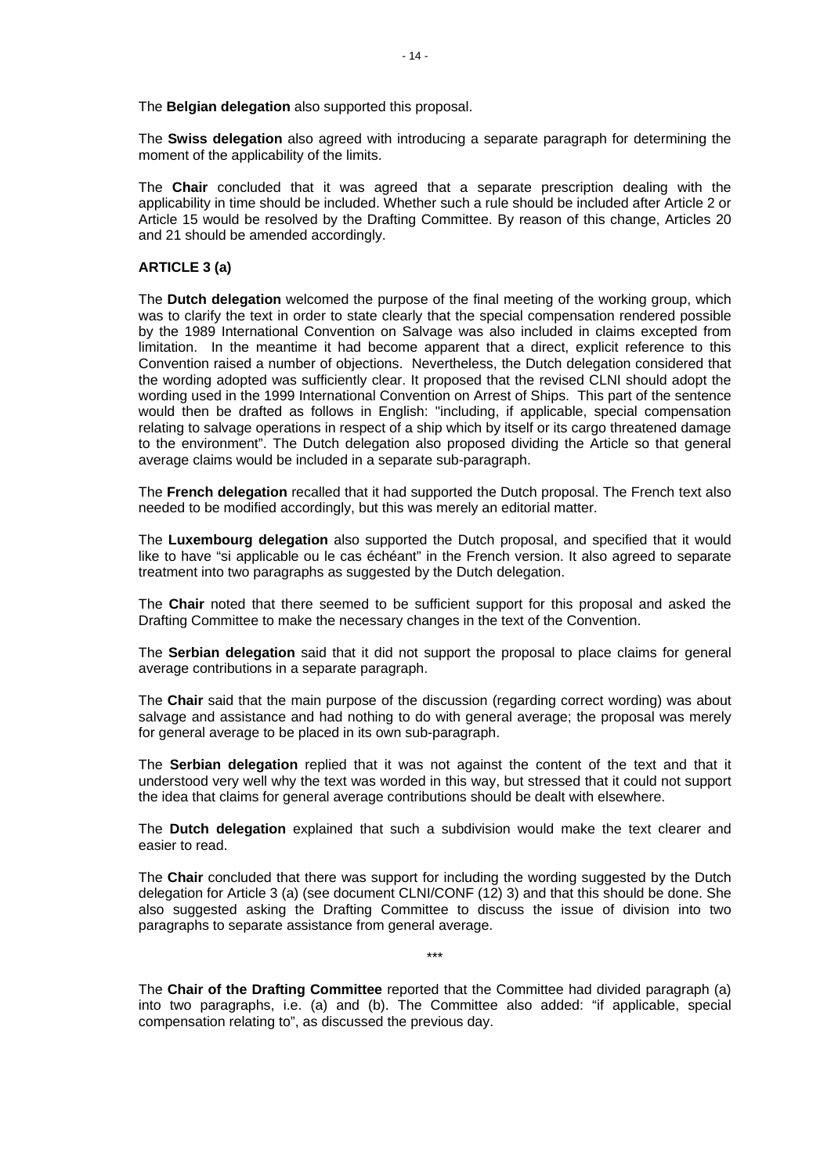The **Belgian delegation** also supported this proposal.

The **Swiss delegation** also agreed with introducing a separate paragraph for determining the moment of the applicability of the limits.

The **Chair** concluded that it was agreed that a separate prescription dealing with the applicability in time should be included. Whether such a rule should be included after Article 2 or Article 15 would be resolved by the Drafting Committee. By reason of this change, Articles 20 and 21 should be amended accordingly.

#### **ARTICLE 3 (a)**

The **Dutch delegation** welcomed the purpose of the final meeting of the working group, which was to clarify the text in order to state clearly that the special compensation rendered possible by the 1989 International Convention on Salvage was also included in claims excepted from limitation. In the meantime it had become apparent that a direct, explicit reference to this Convention raised a number of objections. Nevertheless, the Dutch delegation considered that the wording adopted was sufficiently clear. It proposed that the revised CLNI should adopt the wording used in the 1999 International Convention on Arrest of Ships. This part of the sentence would then be drafted as follows in English: "including, if applicable, special compensation relating to salvage operations in respect of a ship which by itself or its cargo threatened damage to the environment". The Dutch delegation also proposed dividing the Article so that general average claims would be included in a separate sub-paragraph.

The **French delegation** recalled that it had supported the Dutch proposal. The French text also needed to be modified accordingly, but this was merely an editorial matter.

The **Luxembourg delegation** also supported the Dutch proposal, and specified that it would like to have "si applicable ou le cas échéant" in the French version. It also agreed to separate treatment into two paragraphs as suggested by the Dutch delegation.

The **Chair** noted that there seemed to be sufficient support for this proposal and asked the Drafting Committee to make the necessary changes in the text of the Convention.

The **Serbian delegation** said that it did not support the proposal to place claims for general average contributions in a separate paragraph.

The **Chair** said that the main purpose of the discussion (regarding correct wording) was about salvage and assistance and had nothing to do with general average; the proposal was merely for general average to be placed in its own sub-paragraph.

The **Serbian delegation** replied that it was not against the content of the text and that it understood very well why the text was worded in this way, but stressed that it could not support the idea that claims for general average contributions should be dealt with elsewhere.

The **Dutch delegation** explained that such a subdivision would make the text clearer and easier to read.

The **Chair** concluded that there was support for including the wording suggested by the Dutch delegation for Article 3 (a) (see document CLNI/CONF (12) 3) and that this should be done. She also suggested asking the Drafting Committee to discuss the issue of division into two paragraphs to separate assistance from general average.

The **Chair of the Drafting Committee** reported that the Committee had divided paragraph (a) into two paragraphs, i.e. (a) and (b). The Committee also added: "if applicable, special compensation relating to", as discussed the previous day.

\*\*\*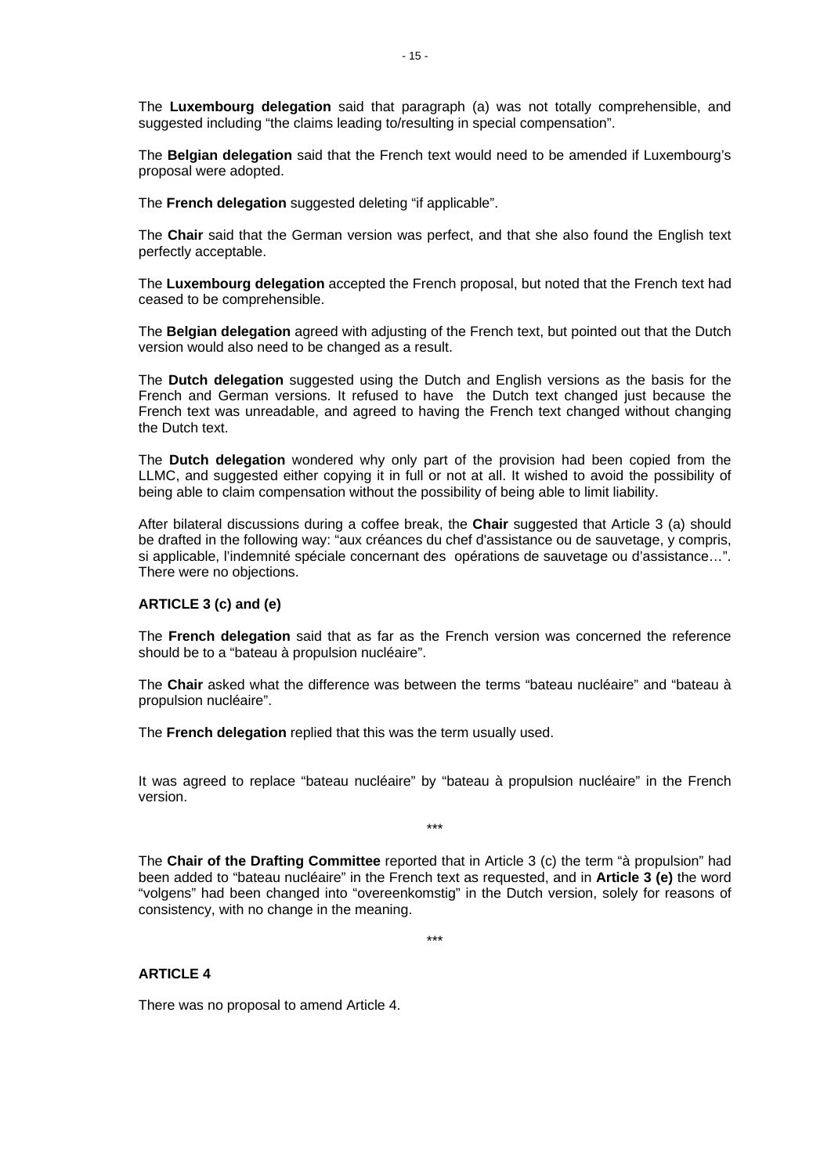The **Luxembourg delegation** said that paragraph (a) was not totally comprehensible, and suggested including "the claims leading to/resulting in special compensation".

The **Belgian delegation** said that the French text would need to be amended if Luxembourg's proposal were adopted.

The **French delegation** suggested deleting "if applicable".

The **Chair** said that the German version was perfect, and that she also found the English text perfectly acceptable.

The **Luxembourg delegation** accepted the French proposal, but noted that the French text had ceased to be comprehensible.

The **Belgian delegation** agreed with adjusting of the French text, but pointed out that the Dutch version would also need to be changed as a result.

The **Dutch delegation** suggested using the Dutch and English versions as the basis for the French and German versions. It refused to have the Dutch text changed just because the French text was unreadable, and agreed to having the French text changed without changing the Dutch text.

The **Dutch delegation** wondered why only part of the provision had been copied from the LLMC, and suggested either copying it in full or not at all. It wished to avoid the possibility of being able to claim compensation without the possibility of being able to limit liability.

After bilateral discussions during a coffee break, the **Chair** suggested that Article 3 (a) should be drafted in the following way: "aux créances du chef d'assistance ou de sauvetage, y compris, si applicable, l'indemnité spéciale concernant des opérations de sauvetage ou d'assistance…". There were no objections.

## **ARTICLE 3 (c) and (e)**

The **French delegation** said that as far as the French version was concerned the reference should be to a "bateau à propulsion nucléaire".

The **Chair** asked what the difference was between the terms "bateau nucléaire" and "bateau à propulsion nucléaire".

The **French delegation** replied that this was the term usually used.

It was agreed to replace "bateau nucléaire" by "bateau à propulsion nucléaire" in the French version.

\*\*\*

The **Chair of the Drafting Committee** reported that in Article 3 (c) the term "à propulsion" had been added to "bateau nucléaire" in the French text as requested, and in **Article 3 (e)** the word "volgens" had been changed into "overeenkomstig" in the Dutch version, solely for reasons of consistency, with no change in the meaning.

\*\*\*

#### **ARTICLE 4**

There was no proposal to amend Article 4.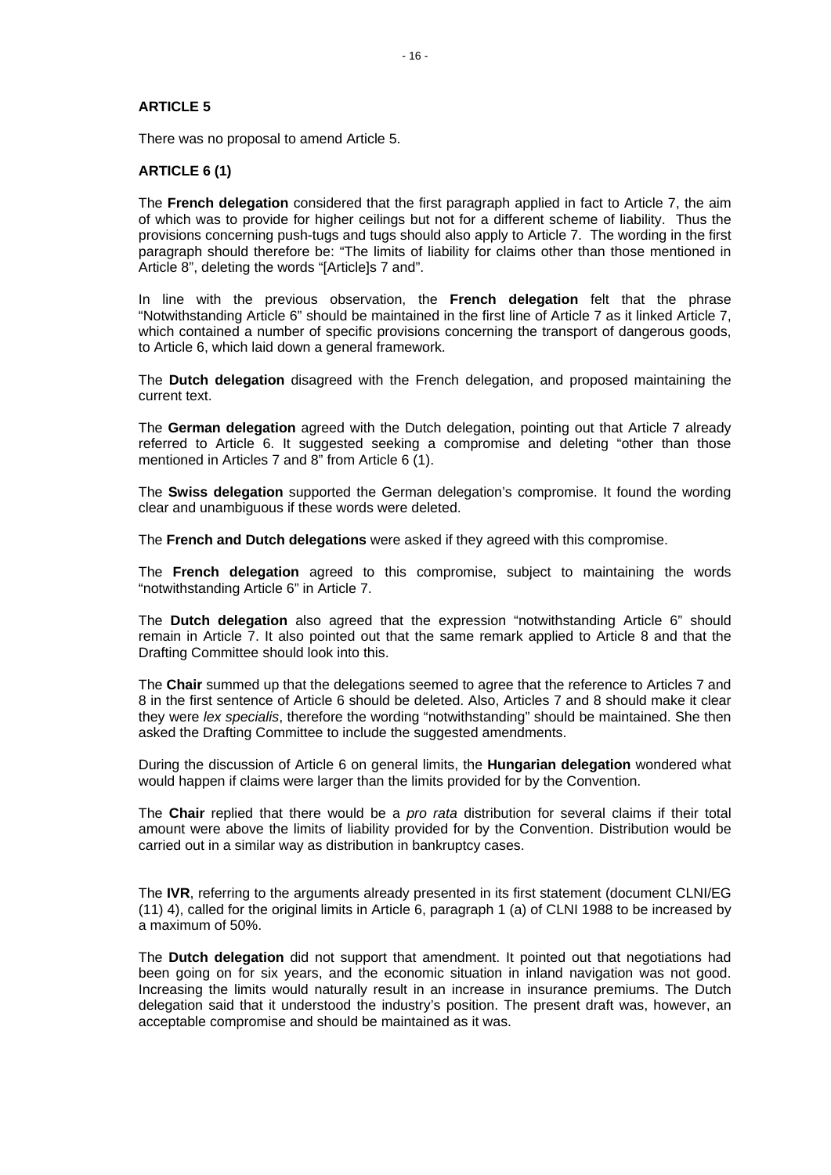## **ARTICLE 5**

There was no proposal to amend Article 5.

## **ARTICLE 6 (1)**

The **French delegation** considered that the first paragraph applied in fact to Article 7, the aim of which was to provide for higher ceilings but not for a different scheme of liability. Thus the provisions concerning push-tugs and tugs should also apply to Article 7. The wording in the first paragraph should therefore be: "The limits of liability for claims other than those mentioned in Article 8", deleting the words "[Article]s 7 and".

In line with the previous observation, the **French delegation** felt that the phrase "Notwithstanding Article 6" should be maintained in the first line of Article 7 as it linked Article 7, which contained a number of specific provisions concerning the transport of dangerous goods, to Article 6, which laid down a general framework.

The **Dutch delegation** disagreed with the French delegation, and proposed maintaining the current text.

The **German delegation** agreed with the Dutch delegation, pointing out that Article 7 already referred to Article 6. It suggested seeking a compromise and deleting "other than those mentioned in Articles 7 and 8" from Article 6 (1).

The **Swiss delegation** supported the German delegation's compromise. It found the wording clear and unambiguous if these words were deleted.

The **French and Dutch delegations** were asked if they agreed with this compromise.

The **French delegation** agreed to this compromise, subject to maintaining the words "notwithstanding Article 6" in Article 7.

The **Dutch delegation** also agreed that the expression "notwithstanding Article 6" should remain in Article 7. It also pointed out that the same remark applied to Article 8 and that the Drafting Committee should look into this.

The **Chair** summed up that the delegations seemed to agree that the reference to Articles 7 and 8 in the first sentence of Article 6 should be deleted. Also, Articles 7 and 8 should make it clear they were *lex specialis*, therefore the wording "notwithstanding" should be maintained. She then asked the Drafting Committee to include the suggested amendments.

During the discussion of Article 6 on general limits, the **Hungarian delegation** wondered what would happen if claims were larger than the limits provided for by the Convention.

The **Chair** replied that there would be a *pro rata* distribution for several claims if their total amount were above the limits of liability provided for by the Convention. Distribution would be carried out in a similar way as distribution in bankruptcy cases.

The **IVR**, referring to the arguments already presented in its first statement (document CLNI/EG (11) 4), called for the original limits in Article 6, paragraph 1 (a) of CLNI 1988 to be increased by a maximum of 50%.

The **Dutch delegation** did not support that amendment. It pointed out that negotiations had been going on for six years, and the economic situation in inland navigation was not good. Increasing the limits would naturally result in an increase in insurance premiums. The Dutch delegation said that it understood the industry's position. The present draft was, however, an acceptable compromise and should be maintained as it was.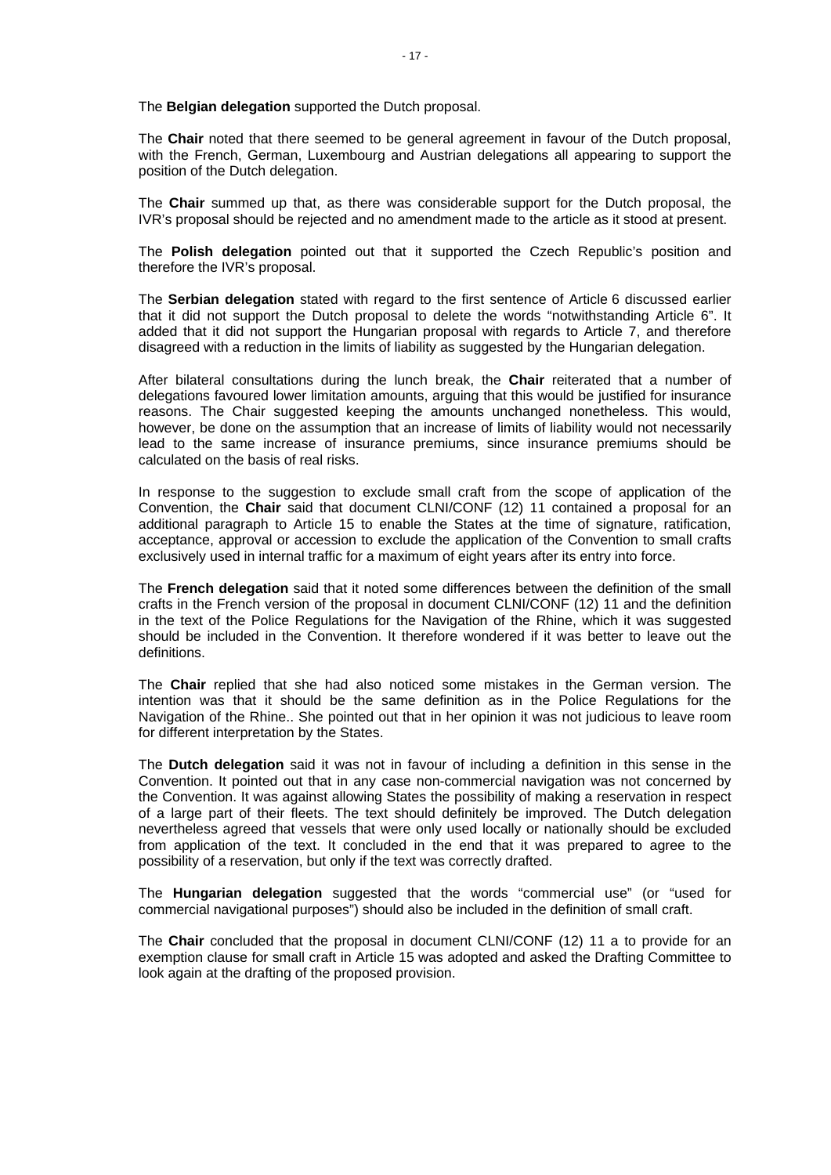The **Belgian delegation** supported the Dutch proposal.

The **Chair** noted that there seemed to be general agreement in favour of the Dutch proposal, with the French, German, Luxembourg and Austrian delegations all appearing to support the position of the Dutch delegation.

The **Chair** summed up that, as there was considerable support for the Dutch proposal, the IVR's proposal should be rejected and no amendment made to the article as it stood at present.

The **Polish delegation** pointed out that it supported the Czech Republic's position and therefore the IVR's proposal.

The **Serbian delegation** stated with regard to the first sentence of Article 6 discussed earlier that it did not support the Dutch proposal to delete the words "notwithstanding Article 6". It added that it did not support the Hungarian proposal with regards to Article 7, and therefore disagreed with a reduction in the limits of liability as suggested by the Hungarian delegation.

After bilateral consultations during the lunch break, the **Chair** reiterated that a number of delegations favoured lower limitation amounts, arguing that this would be justified for insurance reasons. The Chair suggested keeping the amounts unchanged nonetheless. This would, however, be done on the assumption that an increase of limits of liability would not necessarily lead to the same increase of insurance premiums, since insurance premiums should be calculated on the basis of real risks.

In response to the suggestion to exclude small craft from the scope of application of the Convention, the **Chair** said that document CLNI/CONF (12) 11 contained a proposal for an additional paragraph to Article 15 to enable the States at the time of signature, ratification, acceptance, approval or accession to exclude the application of the Convention to small crafts exclusively used in internal traffic for a maximum of eight years after its entry into force.

The **French delegation** said that it noted some differences between the definition of the small crafts in the French version of the proposal in document CLNI/CONF (12) 11 and the definition in the text of the Police Regulations for the Navigation of the Rhine, which it was suggested should be included in the Convention. It therefore wondered if it was better to leave out the definitions.

The **Chair** replied that she had also noticed some mistakes in the German version. The intention was that it should be the same definition as in the Police Regulations for the Navigation of the Rhine.. She pointed out that in her opinion it was not judicious to leave room for different interpretation by the States.

The **Dutch delegation** said it was not in favour of including a definition in this sense in the Convention. It pointed out that in any case non-commercial navigation was not concerned by the Convention. It was against allowing States the possibility of making a reservation in respect of a large part of their fleets. The text should definitely be improved. The Dutch delegation nevertheless agreed that vessels that were only used locally or nationally should be excluded from application of the text. It concluded in the end that it was prepared to agree to the possibility of a reservation, but only if the text was correctly drafted.

The **Hungarian delegation** suggested that the words "commercial use" (or "used for commercial navigational purposes") should also be included in the definition of small craft.

The **Chair** concluded that the proposal in document CLNI/CONF (12) 11 a to provide for an exemption clause for small craft in Article 15 was adopted and asked the Drafting Committee to look again at the drafting of the proposed provision.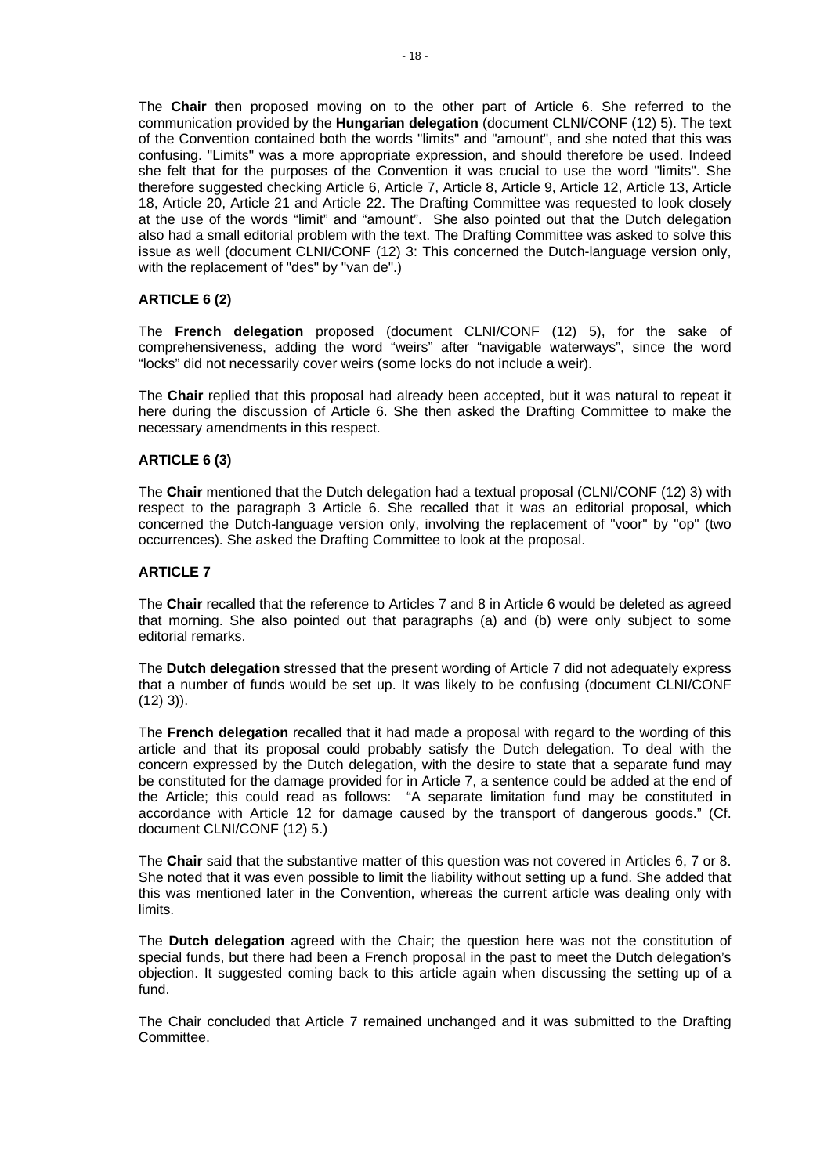The **Chair** then proposed moving on to the other part of Article 6. She referred to the communication provided by the **Hungarian delegation** (document CLNI/CONF (12) 5). The text of the Convention contained both the words "limits" and "amount", and she noted that this was confusing. "Limits" was a more appropriate expression, and should therefore be used. Indeed she felt that for the purposes of the Convention it was crucial to use the word "limits". She therefore suggested checking Article 6, Article 7, Article 8, Article 9, Article 12, Article 13, Article 18, Article 20, Article 21 and Article 22. The Drafting Committee was requested to look closely at the use of the words "limit" and "amount". She also pointed out that the Dutch delegation also had a small editorial problem with the text. The Drafting Committee was asked to solve this issue as well (document CLNI/CONF (12) 3: This concerned the Dutch-language version only, with the replacement of "des" by "van de".)

# **ARTICLE 6 (2)**

The **French delegation** proposed (document CLNI/CONF (12) 5), for the sake of comprehensiveness, adding the word "weirs" after "navigable waterways", since the word "locks" did not necessarily cover weirs (some locks do not include a weir).

The **Chair** replied that this proposal had already been accepted, but it was natural to repeat it here during the discussion of Article 6. She then asked the Drafting Committee to make the necessary amendments in this respect.

## **ARTICLE 6 (3)**

The **Chair** mentioned that the Dutch delegation had a textual proposal (CLNI/CONF (12) 3) with respect to the paragraph 3 Article 6. She recalled that it was an editorial proposal, which concerned the Dutch-language version only, involving the replacement of "voor" by "op" (two occurrences). She asked the Drafting Committee to look at the proposal.

#### **ARTICLE 7**

The **Chair** recalled that the reference to Articles 7 and 8 in Article 6 would be deleted as agreed that morning. She also pointed out that paragraphs (a) and (b) were only subject to some editorial remarks.

The **Dutch delegation** stressed that the present wording of Article 7 did not adequately express that a number of funds would be set up. It was likely to be confusing (document CLNI/CONF  $(12)$  3)).

The **French delegation** recalled that it had made a proposal with regard to the wording of this article and that its proposal could probably satisfy the Dutch delegation. To deal with the concern expressed by the Dutch delegation, with the desire to state that a separate fund may be constituted for the damage provided for in Article 7, a sentence could be added at the end of the Article; this could read as follows: "A separate limitation fund may be constituted in accordance with Article 12 for damage caused by the transport of dangerous goods." (Cf. document CLNI/CONF (12) 5.)

The **Chair** said that the substantive matter of this question was not covered in Articles 6, 7 or 8. She noted that it was even possible to limit the liability without setting up a fund. She added that this was mentioned later in the Convention, whereas the current article was dealing only with limits.

The **Dutch delegation** agreed with the Chair; the question here was not the constitution of special funds, but there had been a French proposal in the past to meet the Dutch delegation's objection. It suggested coming back to this article again when discussing the setting up of a fund.

The Chair concluded that Article 7 remained unchanged and it was submitted to the Drafting Committee.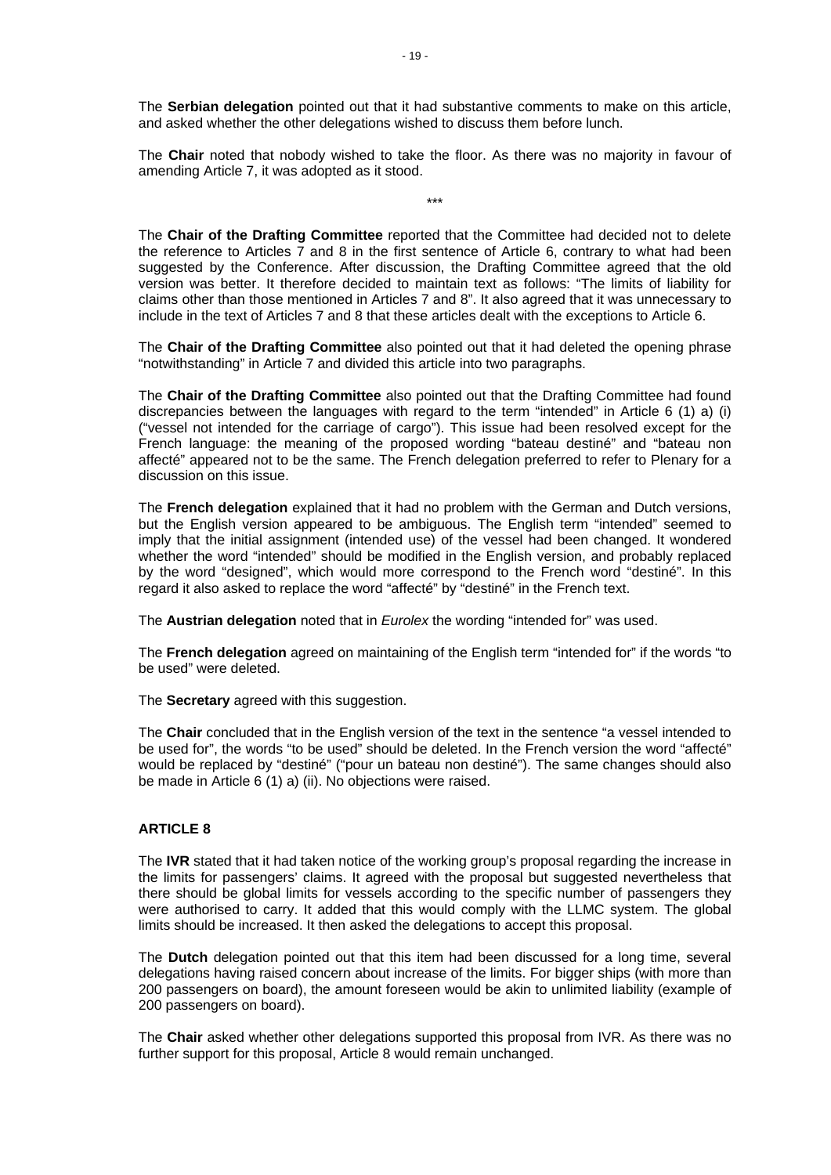The **Serbian delegation** pointed out that it had substantive comments to make on this article, and asked whether the other delegations wished to discuss them before lunch.

The **Chair** noted that nobody wished to take the floor. As there was no majority in favour of amending Article 7, it was adopted as it stood.

\*\*\*

The **Chair of the Drafting Committee** reported that the Committee had decided not to delete the reference to Articles  $\overline{7}$  and 8 in the first sentence of Article 6, contrary to what had been suggested by the Conference. After discussion, the Drafting Committee agreed that the old version was better. It therefore decided to maintain text as follows: "The limits of liability for claims other than those mentioned in Articles 7 and 8". It also agreed that it was unnecessary to include in the text of Articles 7 and 8 that these articles dealt with the exceptions to Article 6.

The **Chair of the Drafting Committee** also pointed out that it had deleted the opening phrase "notwithstanding" in Article 7 and divided this article into two paragraphs.

The **Chair of the Drafting Committee** also pointed out that the Drafting Committee had found discrepancies between the languages with regard to the term "intended" in Article 6 (1) a) (i) ("vessel not intended for the carriage of cargo"). This issue had been resolved except for the French language: the meaning of the proposed wording "bateau destiné" and "bateau non affecté" appeared not to be the same. The French delegation preferred to refer to Plenary for a discussion on this issue.

The **French delegation** explained that it had no problem with the German and Dutch versions, but the English version appeared to be ambiguous. The English term "intended" seemed to imply that the initial assignment (intended use) of the vessel had been changed. It wondered whether the word "intended" should be modified in the English version, and probably replaced by the word "designed", which would more correspond to the French word "destiné". In this regard it also asked to replace the word "affecté" by "destiné" in the French text.

The **Austrian delegation** noted that in *Eurolex* the wording "intended for" was used.

The **French delegation** agreed on maintaining of the English term "intended for" if the words "to be used" were deleted.

The **Secretary** agreed with this suggestion.

The **Chair** concluded that in the English version of the text in the sentence "a vessel intended to be used for", the words "to be used" should be deleted. In the French version the word "affecté" would be replaced by "destiné" ("pour un bateau non destiné"). The same changes should also be made in Article 6 (1) a) (ii). No objections were raised.

#### **ARTICLE 8**

The **IVR** stated that it had taken notice of the working group's proposal regarding the increase in the limits for passengers' claims. It agreed with the proposal but suggested nevertheless that there should be global limits for vessels according to the specific number of passengers they were authorised to carry. It added that this would comply with the LLMC system. The global limits should be increased. It then asked the delegations to accept this proposal.

The **Dutch** delegation pointed out that this item had been discussed for a long time, several delegations having raised concern about increase of the limits. For bigger ships (with more than 200 passengers on board), the amount foreseen would be akin to unlimited liability (example of 200 passengers on board).

The **Chair** asked whether other delegations supported this proposal from IVR. As there was no further support for this proposal, Article 8 would remain unchanged.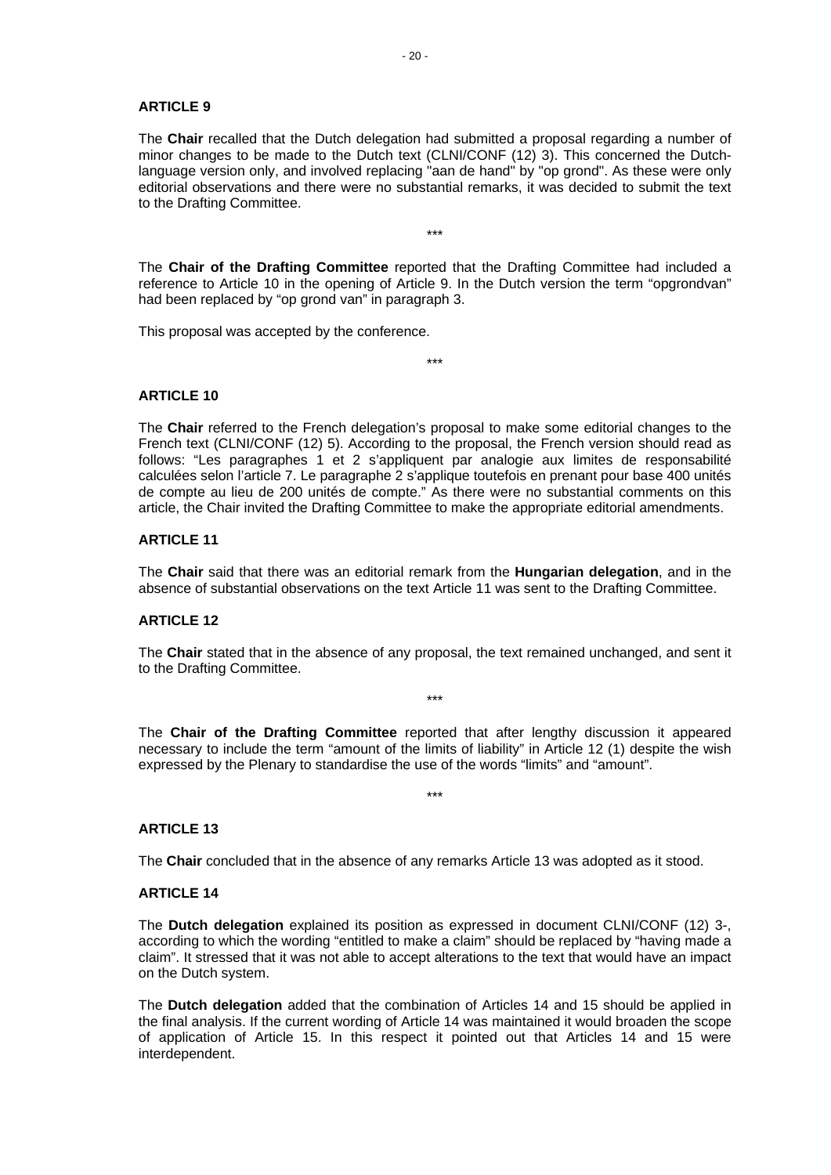#### **ARTICLE 9**

The **Chair** recalled that the Dutch delegation had submitted a proposal regarding a number of minor changes to be made to the Dutch text (CLNI/CONF (12) 3). This concerned the Dutchlanguage version only, and involved replacing "aan de hand" by "op grond". As these were only editorial observations and there were no substantial remarks, it was decided to submit the text to the Drafting Committee.

The **Chair of the Drafting Committee** reported that the Drafting Committee had included a reference to Article 10 in the opening of Article 9. In the Dutch version the term "opgrondvan" had been replaced by "op grond van" in paragraph 3.

\*\*\*

\*\*\*

This proposal was accepted by the conference.

## **ARTICLE 10**

The **Chair** referred to the French delegation's proposal to make some editorial changes to the French text (CLNI/CONF (12) 5). According to the proposal, the French version should read as follows: "Les paragraphes 1 et 2 s'appliquent par analogie aux limites de responsabilité calculées selon l'article 7. Le paragraphe 2 s'applique toutefois en prenant pour base 400 unités de compte au lieu de 200 unités de compte." As there were no substantial comments on this article, the Chair invited the Drafting Committee to make the appropriate editorial amendments.

#### **ARTICLE 11**

The **Chair** said that there was an editorial remark from the **Hungarian delegation**, and in the absence of substantial observations on the text Article 11 was sent to the Drafting Committee.

## **ARTICLE 12**

The **Chair** stated that in the absence of any proposal, the text remained unchanged, and sent it to the Drafting Committee.

\*\*\*

The **Chair of the Drafting Committee** reported that after lengthy discussion it appeared necessary to include the term "amount of the limits of liability" in Article 12 (1) despite the wish expressed by the Plenary to standardise the use of the words "limits" and "amount".

\*\*\*

#### **ARTICLE 13**

The **Chair** concluded that in the absence of any remarks Article 13 was adopted as it stood.

#### **ARTICLE 14**

The **Dutch delegation** explained its position as expressed in document CLNI/CONF (12) 3-, according to which the wording "entitled to make a claim" should be replaced by "having made a claim". It stressed that it was not able to accept alterations to the text that would have an impact on the Dutch system.

The **Dutch delegation** added that the combination of Articles 14 and 15 should be applied in the final analysis. If the current wording of Article 14 was maintained it would broaden the scope of application of Article 15. In this respect it pointed out that Articles 14 and 15 were interdependent.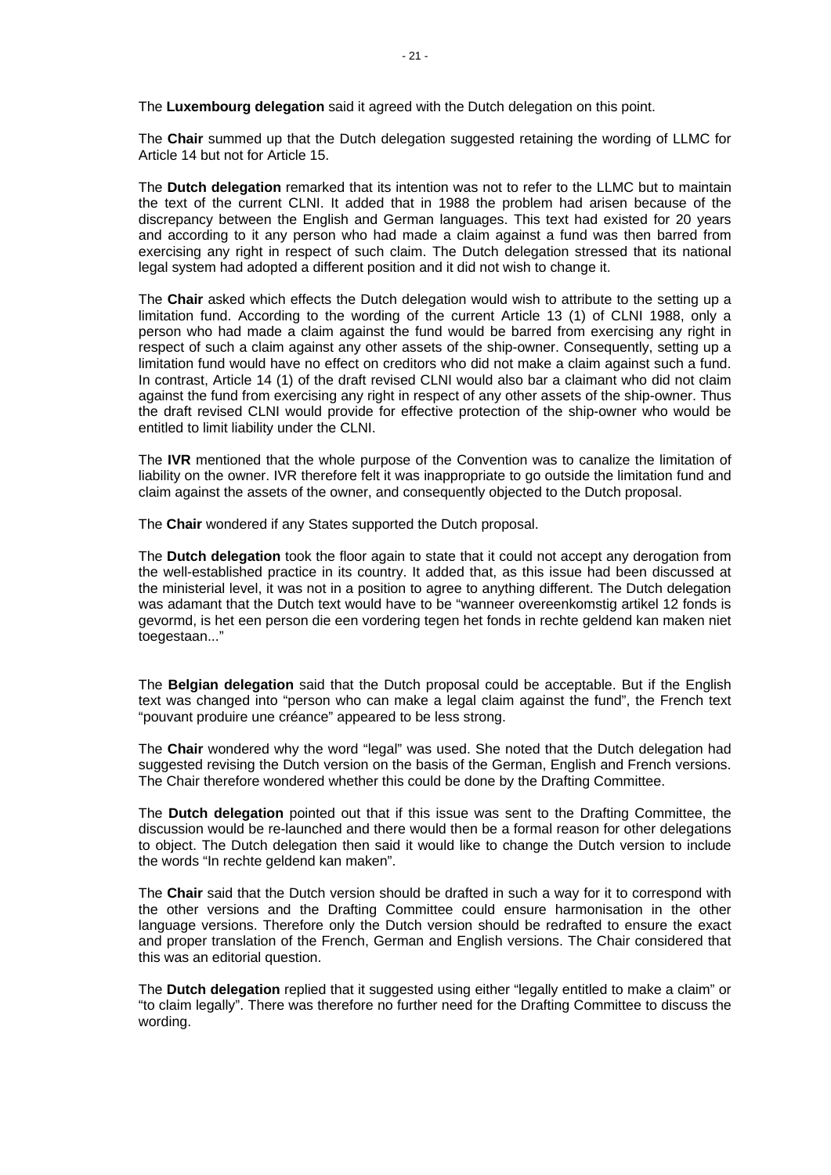The **Luxembourg delegation** said it agreed with the Dutch delegation on this point.

The **Chair** summed up that the Dutch delegation suggested retaining the wording of LLMC for Article 14 but not for Article 15.

The **Dutch delegation** remarked that its intention was not to refer to the LLMC but to maintain the text of the current CLNI. It added that in 1988 the problem had arisen because of the discrepancy between the English and German languages. This text had existed for 20 years and according to it any person who had made a claim against a fund was then barred from exercising any right in respect of such claim. The Dutch delegation stressed that its national legal system had adopted a different position and it did not wish to change it.

The **Chair** asked which effects the Dutch delegation would wish to attribute to the setting up a limitation fund. According to the wording of the current Article 13 (1) of CLNI 1988, only a person who had made a claim against the fund would be barred from exercising any right in respect of such a claim against any other assets of the ship-owner. Consequently, setting up a limitation fund would have no effect on creditors who did not make a claim against such a fund. In contrast, Article 14 (1) of the draft revised CLNI would also bar a claimant who did not claim against the fund from exercising any right in respect of any other assets of the ship-owner. Thus the draft revised CLNI would provide for effective protection of the ship-owner who would be entitled to limit liability under the CLNI.

The **IVR** mentioned that the whole purpose of the Convention was to canalize the limitation of liability on the owner. IVR therefore felt it was inappropriate to go outside the limitation fund and claim against the assets of the owner, and consequently objected to the Dutch proposal.

The **Chair** wondered if any States supported the Dutch proposal.

The **Dutch delegation** took the floor again to state that it could not accept any derogation from the well-established practice in its country. It added that, as this issue had been discussed at the ministerial level, it was not in a position to agree to anything different. The Dutch delegation was adamant that the Dutch text would have to be "wanneer overeenkomstig artikel 12 fonds is gevormd, is het een person die een vordering tegen het fonds in rechte geldend kan maken niet toegestaan..."

The **Belgian delegation** said that the Dutch proposal could be acceptable. But if the English text was changed into "person who can make a legal claim against the fund", the French text "pouvant produire une créance" appeared to be less strong.

The **Chair** wondered why the word "legal" was used. She noted that the Dutch delegation had suggested revising the Dutch version on the basis of the German, English and French versions. The Chair therefore wondered whether this could be done by the Drafting Committee.

The **Dutch delegation** pointed out that if this issue was sent to the Drafting Committee, the discussion would be re-launched and there would then be a formal reason for other delegations to object. The Dutch delegation then said it would like to change the Dutch version to include the words "In rechte geldend kan maken".

The **Chair** said that the Dutch version should be drafted in such a way for it to correspond with the other versions and the Drafting Committee could ensure harmonisation in the other language versions. Therefore only the Dutch version should be redrafted to ensure the exact and proper translation of the French, German and English versions. The Chair considered that this was an editorial question.

The **Dutch delegation** replied that it suggested using either "legally entitled to make a claim" or "to claim legally". There was therefore no further need for the Drafting Committee to discuss the wording.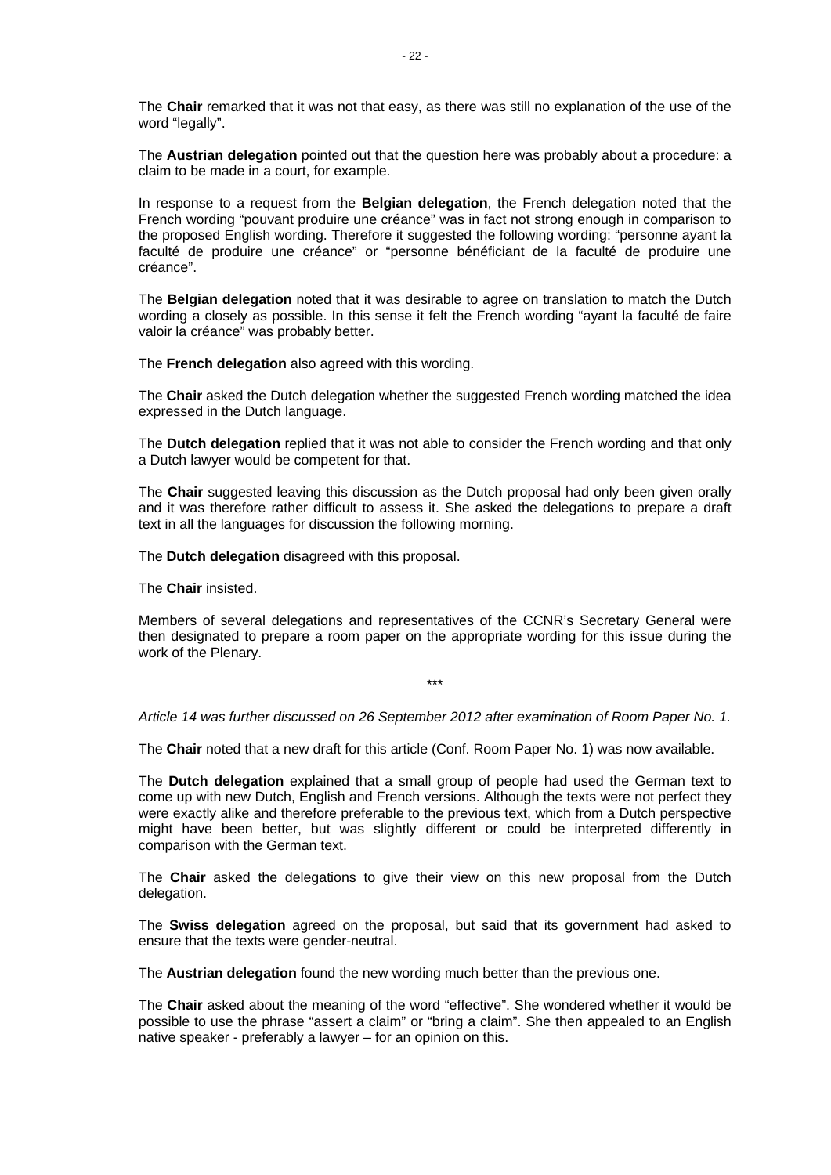The **Chair** remarked that it was not that easy, as there was still no explanation of the use of the word "legally".

The **Austrian delegation** pointed out that the question here was probably about a procedure: a claim to be made in a court, for example.

In response to a request from the **Belgian delegation**, the French delegation noted that the French wording "pouvant produire une créance" was in fact not strong enough in comparison to the proposed English wording. Therefore it suggested the following wording: "personne ayant la faculté de produire une créance" or "personne bénéficiant de la faculté de produire une créance".

The **Belgian delegation** noted that it was desirable to agree on translation to match the Dutch wording a closely as possible. In this sense it felt the French wording "ayant la faculté de faire valoir la créance" was probably better.

The **French delegation** also agreed with this wording.

The **Chair** asked the Dutch delegation whether the suggested French wording matched the idea expressed in the Dutch language.

The **Dutch delegation** replied that it was not able to consider the French wording and that only a Dutch lawyer would be competent for that.

The **Chair** suggested leaving this discussion as the Dutch proposal had only been given orally and it was therefore rather difficult to assess it. She asked the delegations to prepare a draft text in all the languages for discussion the following morning.

The **Dutch delegation** disagreed with this proposal.

The **Chair** insisted.

Members of several delegations and representatives of the CCNR's Secretary General were then designated to prepare a room paper on the appropriate wording for this issue during the work of the Plenary.

\*\*\*

*Article 14 was further discussed on 26 September 2012 after examination of Room Paper No. 1.* 

The **Chair** noted that a new draft for this article (Conf. Room Paper No. 1) was now available.

The **Dutch delegation** explained that a small group of people had used the German text to come up with new Dutch, English and French versions. Although the texts were not perfect they were exactly alike and therefore preferable to the previous text, which from a Dutch perspective might have been better, but was slightly different or could be interpreted differently in comparison with the German text.

The **Chair** asked the delegations to give their view on this new proposal from the Dutch delegation.

The **Swiss delegation** agreed on the proposal, but said that its government had asked to ensure that the texts were gender-neutral.

The **Austrian delegation** found the new wording much better than the previous one.

The **Chair** asked about the meaning of the word "effective". She wondered whether it would be possible to use the phrase "assert a claim" or "bring a claim". She then appealed to an English native speaker - preferably a lawyer – for an opinion on this.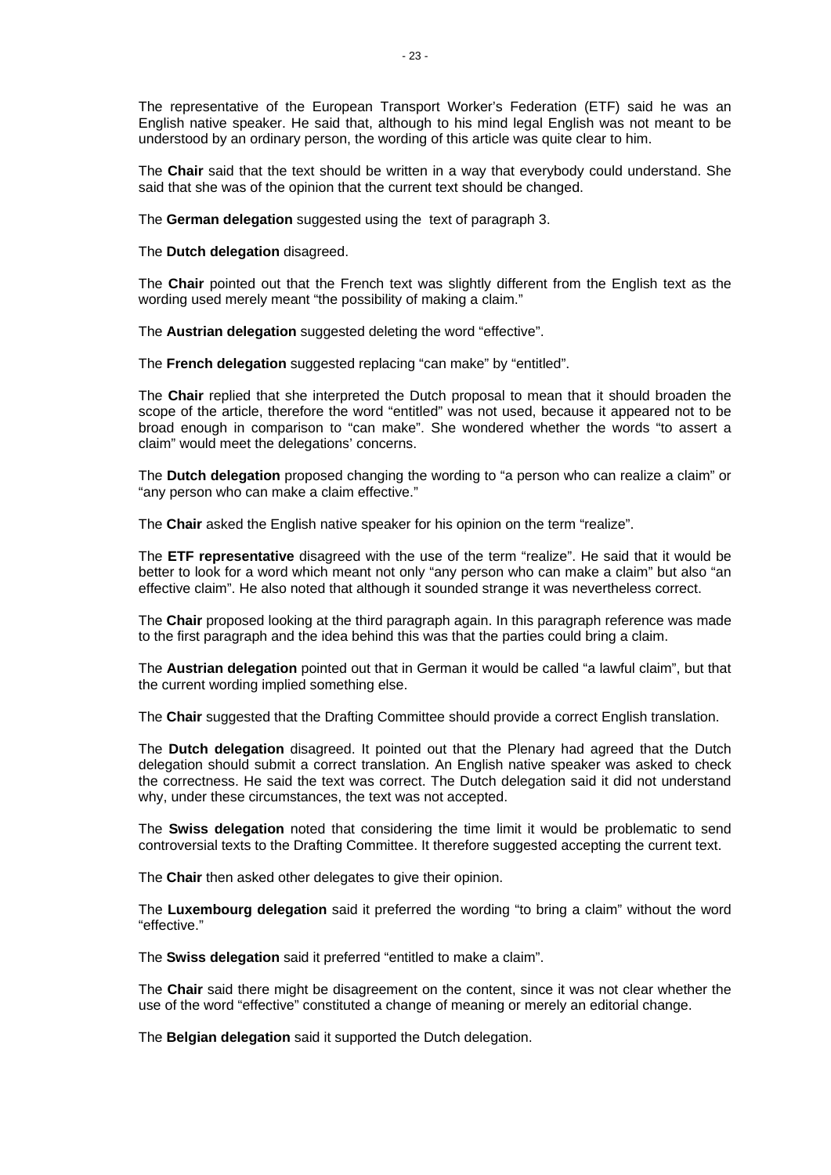The representative of the European Transport Worker's Federation (ETF) said he was an English native speaker. He said that, although to his mind legal English was not meant to be understood by an ordinary person, the wording of this article was quite clear to him.

The **Chair** said that the text should be written in a way that everybody could understand. She said that she was of the opinion that the current text should be changed.

The **German delegation** suggested using the text of paragraph 3.

The **Dutch delegation** disagreed.

The **Chair** pointed out that the French text was slightly different from the English text as the wording used merely meant "the possibility of making a claim."

The **Austrian delegation** suggested deleting the word "effective".

The **French delegation** suggested replacing "can make" by "entitled".

The **Chair** replied that she interpreted the Dutch proposal to mean that it should broaden the scope of the article, therefore the word "entitled" was not used, because it appeared not to be broad enough in comparison to "can make". She wondered whether the words "to assert a claim" would meet the delegations' concerns.

The **Dutch delegation** proposed changing the wording to "a person who can realize a claim" or "any person who can make a claim effective."

The **Chair** asked the English native speaker for his opinion on the term "realize".

The **ETF representative** disagreed with the use of the term "realize". He said that it would be better to look for a word which meant not only "any person who can make a claim" but also "an effective claim". He also noted that although it sounded strange it was nevertheless correct.

The **Chair** proposed looking at the third paragraph again. In this paragraph reference was made to the first paragraph and the idea behind this was that the parties could bring a claim.

The **Austrian delegation** pointed out that in German it would be called "a lawful claim", but that the current wording implied something else.

The **Chair** suggested that the Drafting Committee should provide a correct English translation.

The **Dutch delegation** disagreed. It pointed out that the Plenary had agreed that the Dutch delegation should submit a correct translation. An English native speaker was asked to check the correctness. He said the text was correct. The Dutch delegation said it did not understand why, under these circumstances, the text was not accepted.

The **Swiss delegation** noted that considering the time limit it would be problematic to send controversial texts to the Drafting Committee. It therefore suggested accepting the current text.

The **Chair** then asked other delegates to give their opinion.

The **Luxembourg delegation** said it preferred the wording "to bring a claim" without the word "effective."

The **Swiss delegation** said it preferred "entitled to make a claim".

The **Chair** said there might be disagreement on the content, since it was not clear whether the use of the word "effective" constituted a change of meaning or merely an editorial change.

The **Belgian delegation** said it supported the Dutch delegation.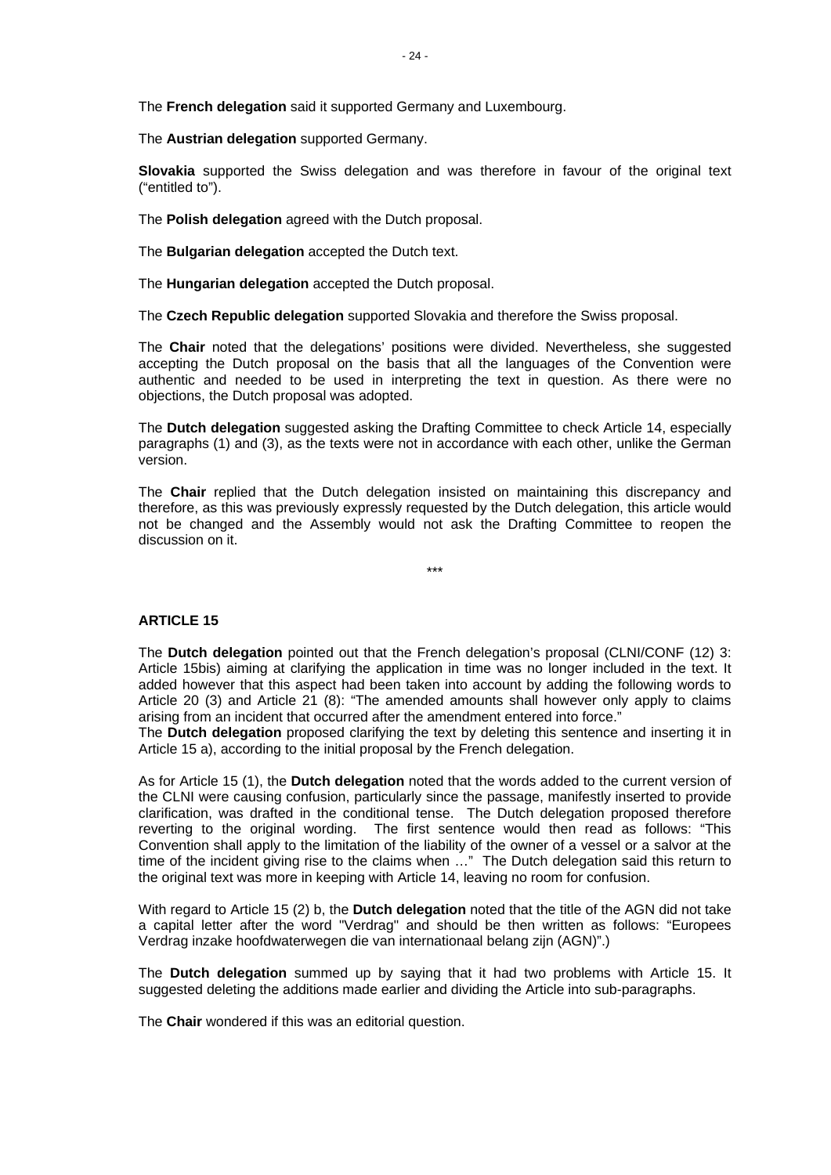The **French delegation** said it supported Germany and Luxembourg.

The **Austrian delegation** supported Germany.

**Slovakia** supported the Swiss delegation and was therefore in favour of the original text ("entitled to").

The **Polish delegation** agreed with the Dutch proposal.

The **Bulgarian delegation** accepted the Dutch text.

The **Hungarian delegation** accepted the Dutch proposal.

The **Czech Republic delegation** supported Slovakia and therefore the Swiss proposal.

The **Chair** noted that the delegations' positions were divided. Nevertheless, she suggested accepting the Dutch proposal on the basis that all the languages of the Convention were authentic and needed to be used in interpreting the text in question. As there were no objections, the Dutch proposal was adopted.

The **Dutch delegation** suggested asking the Drafting Committee to check Article 14, especially paragraphs (1) and (3), as the texts were not in accordance with each other, unlike the German version.

The **Chair** replied that the Dutch delegation insisted on maintaining this discrepancy and therefore, as this was previously expressly requested by the Dutch delegation, this article would not be changed and the Assembly would not ask the Drafting Committee to reopen the discussion on it.

\*\*\*

#### **ARTICLE 15**

The **Dutch delegation** pointed out that the French delegation's proposal (CLNI/CONF (12) 3: Article 15bis) aiming at clarifying the application in time was no longer included in the text. It added however that this aspect had been taken into account by adding the following words to Article 20 (3) and Article 21 (8): "The amended amounts shall however only apply to claims arising from an incident that occurred after the amendment entered into force."

The **Dutch delegation** proposed clarifying the text by deleting this sentence and inserting it in Article 15 a), according to the initial proposal by the French delegation.

As for Article 15 (1), the **Dutch delegation** noted that the words added to the current version of the CLNI were causing confusion, particularly since the passage, manifestly inserted to provide clarification, was drafted in the conditional tense. The Dutch delegation proposed therefore reverting to the original wording. The first sentence would then read as follows: "This Convention shall apply to the limitation of the liability of the owner of a vessel or a salvor at the time of the incident giving rise to the claims when …" The Dutch delegation said this return to the original text was more in keeping with Article 14, leaving no room for confusion.

With regard to Article 15 (2) b, the **Dutch delegation** noted that the title of the AGN did not take a capital letter after the word "Verdrag" and should be then written as follows: "Europees Verdrag inzake hoofdwaterwegen die van internationaal belang zijn (AGN)".)

The **Dutch delegation** summed up by saying that it had two problems with Article 15. It suggested deleting the additions made earlier and dividing the Article into sub-paragraphs.

The **Chair** wondered if this was an editorial question.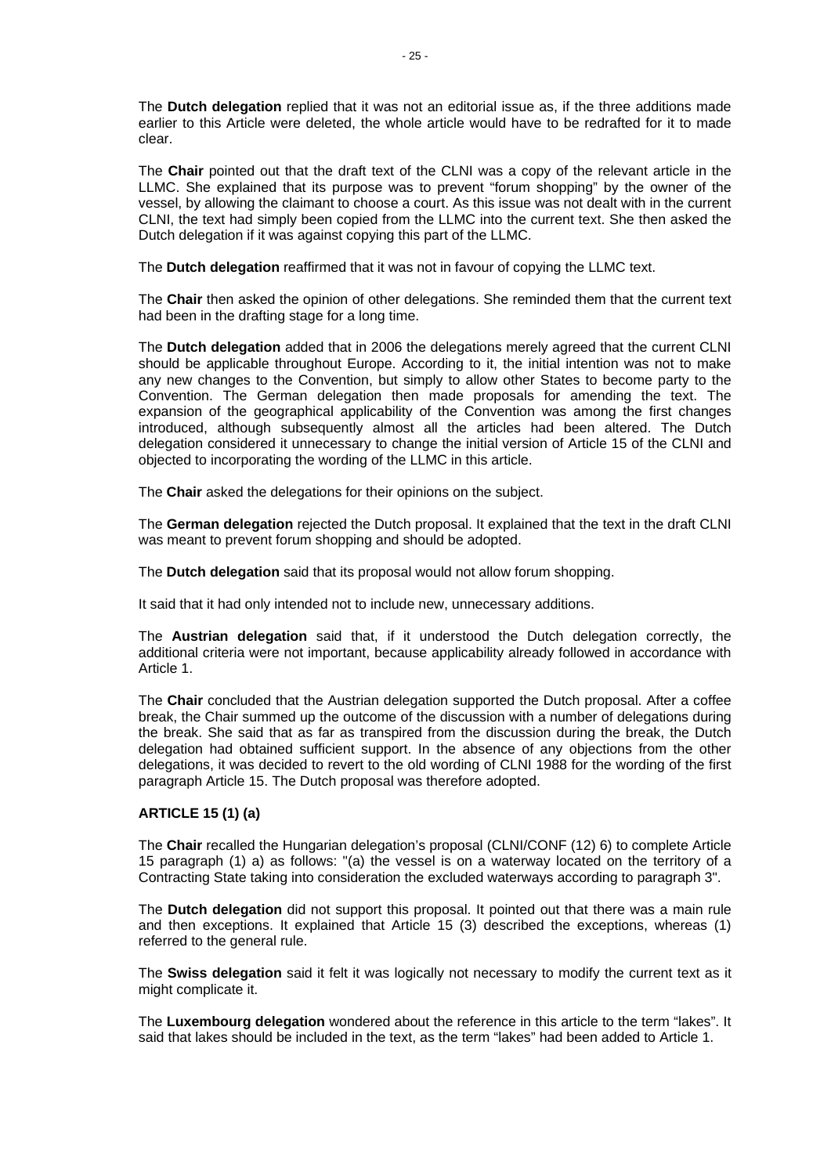The **Dutch delegation** replied that it was not an editorial issue as, if the three additions made earlier to this Article were deleted, the whole article would have to be redrafted for it to made clear.

The **Chair** pointed out that the draft text of the CLNI was a copy of the relevant article in the LLMC. She explained that its purpose was to prevent "forum shopping" by the owner of the vessel, by allowing the claimant to choose a court. As this issue was not dealt with in the current CLNI, the text had simply been copied from the LLMC into the current text. She then asked the Dutch delegation if it was against copying this part of the LLMC.

The **Dutch delegation** reaffirmed that it was not in favour of copying the LLMC text.

The **Chair** then asked the opinion of other delegations. She reminded them that the current text had been in the drafting stage for a long time.

The **Dutch delegation** added that in 2006 the delegations merely agreed that the current CLNI should be applicable throughout Europe. According to it, the initial intention was not to make any new changes to the Convention, but simply to allow other States to become party to the Convention. The German delegation then made proposals for amending the text. The expansion of the geographical applicability of the Convention was among the first changes introduced, although subsequently almost all the articles had been altered. The Dutch delegation considered it unnecessary to change the initial version of Article 15 of the CLNI and objected to incorporating the wording of the LLMC in this article.

The **Chair** asked the delegations for their opinions on the subject.

The **German delegation** rejected the Dutch proposal. It explained that the text in the draft CLNI was meant to prevent forum shopping and should be adopted.

The **Dutch delegation** said that its proposal would not allow forum shopping.

It said that it had only intended not to include new, unnecessary additions.

The **Austrian delegation** said that, if it understood the Dutch delegation correctly, the additional criteria were not important, because applicability already followed in accordance with Article 1.

The **Chair** concluded that the Austrian delegation supported the Dutch proposal. After a coffee break, the Chair summed up the outcome of the discussion with a number of delegations during the break. She said that as far as transpired from the discussion during the break, the Dutch delegation had obtained sufficient support. In the absence of any objections from the other delegations, it was decided to revert to the old wording of CLNI 1988 for the wording of the first paragraph Article 15. The Dutch proposal was therefore adopted.

# **ARTICLE 15 (1) (a)**

The **Chair** recalled the Hungarian delegation's proposal (CLNI/CONF (12) 6) to complete Article 15 paragraph (1) a) as follows: "(a) the vessel is on a waterway located on the territory of a Contracting State taking into consideration the excluded waterways according to paragraph 3".

The **Dutch delegation** did not support this proposal. It pointed out that there was a main rule and then exceptions. It explained that Article 15 (3) described the exceptions, whereas (1) referred to the general rule.

The **Swiss delegation** said it felt it was logically not necessary to modify the current text as it might complicate it.

The **Luxembourg delegation** wondered about the reference in this article to the term "lakes". It said that lakes should be included in the text, as the term "lakes" had been added to Article 1.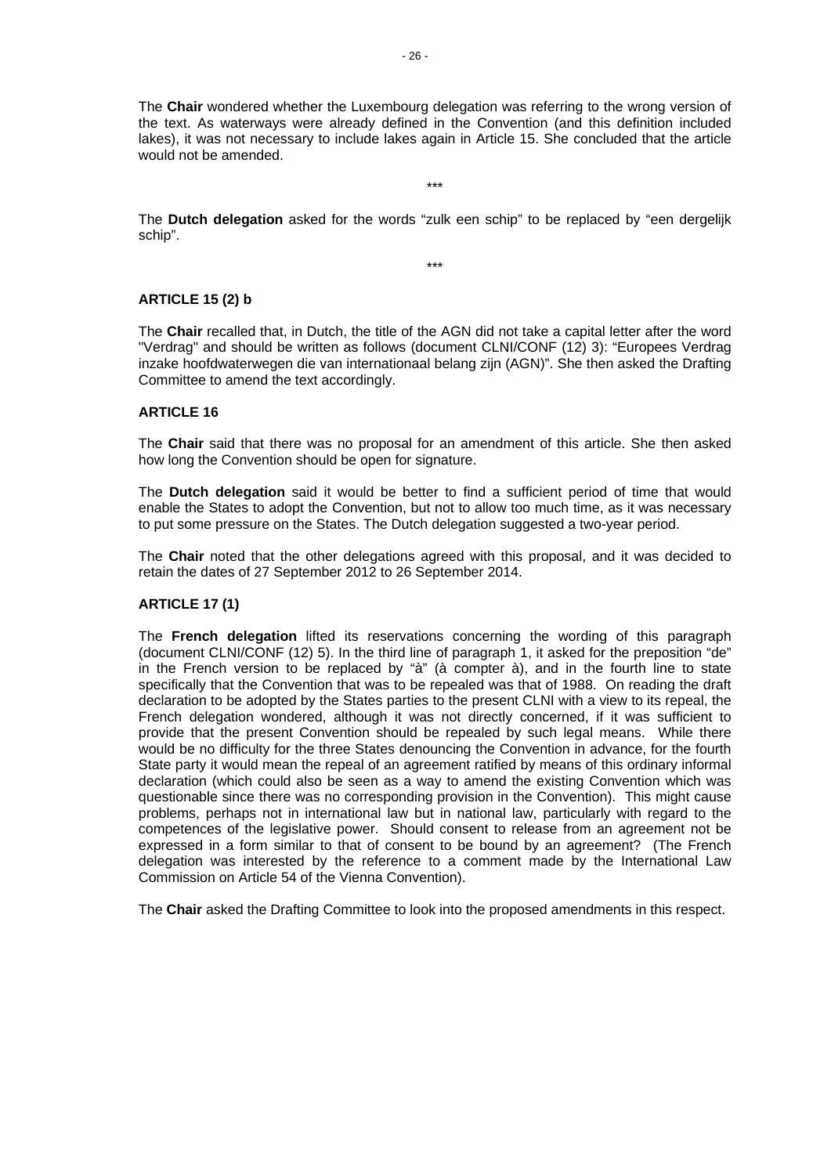The **Chair** wondered whether the Luxembourg delegation was referring to the wrong version of the text. As waterways were already defined in the Convention (and this definition included lakes), it was not necessary to include lakes again in Article 15. She concluded that the article would not be amended.

The **Dutch delegation** asked for the words "zulk een schip" to be replaced by "een dergelijk schip".

\*\*\*

\*\*\*

# **ARTICLE 15 (2) b**

The **Chair** recalled that, in Dutch, the title of the AGN did not take a capital letter after the word "Verdrag" and should be written as follows (document CLNI/CONF (12) 3): "Europees Verdrag inzake hoofdwaterwegen die van internationaal belang zijn (AGN)". She then asked the Drafting Committee to amend the text accordingly.

## **ARTICLE 16**

The **Chair** said that there was no proposal for an amendment of this article. She then asked how long the Convention should be open for signature.

The **Dutch delegation** said it would be better to find a sufficient period of time that would enable the States to adopt the Convention, but not to allow too much time, as it was necessary to put some pressure on the States. The Dutch delegation suggested a two-year period.

The **Chair** noted that the other delegations agreed with this proposal, and it was decided to retain the dates of 27 September 2012 to 26 September 2014.

#### **ARTICLE 17 (1)**

The **French delegation** lifted its reservations concerning the wording of this paragraph (document CLNI/CONF (12) 5). In the third line of paragraph 1, it asked for the preposition "de" in the French version to be replaced by "à" (à compter à), and in the fourth line to state specifically that the Convention that was to be repealed was that of 1988. On reading the draft declaration to be adopted by the States parties to the present CLNI with a view to its repeal, the French delegation wondered, although it was not directly concerned, if it was sufficient to provide that the present Convention should be repealed by such legal means. While there would be no difficulty for the three States denouncing the Convention in advance, for the fourth State party it would mean the repeal of an agreement ratified by means of this ordinary informal declaration (which could also be seen as a way to amend the existing Convention which was questionable since there was no corresponding provision in the Convention). This might cause problems, perhaps not in international law but in national law, particularly with regard to the competences of the legislative power. Should consent to release from an agreement not be expressed in a form similar to that of consent to be bound by an agreement? (The French delegation was interested by the reference to a comment made by the International Law Commission on Article 54 of the Vienna Convention).

The **Chair** asked the Drafting Committee to look into the proposed amendments in this respect.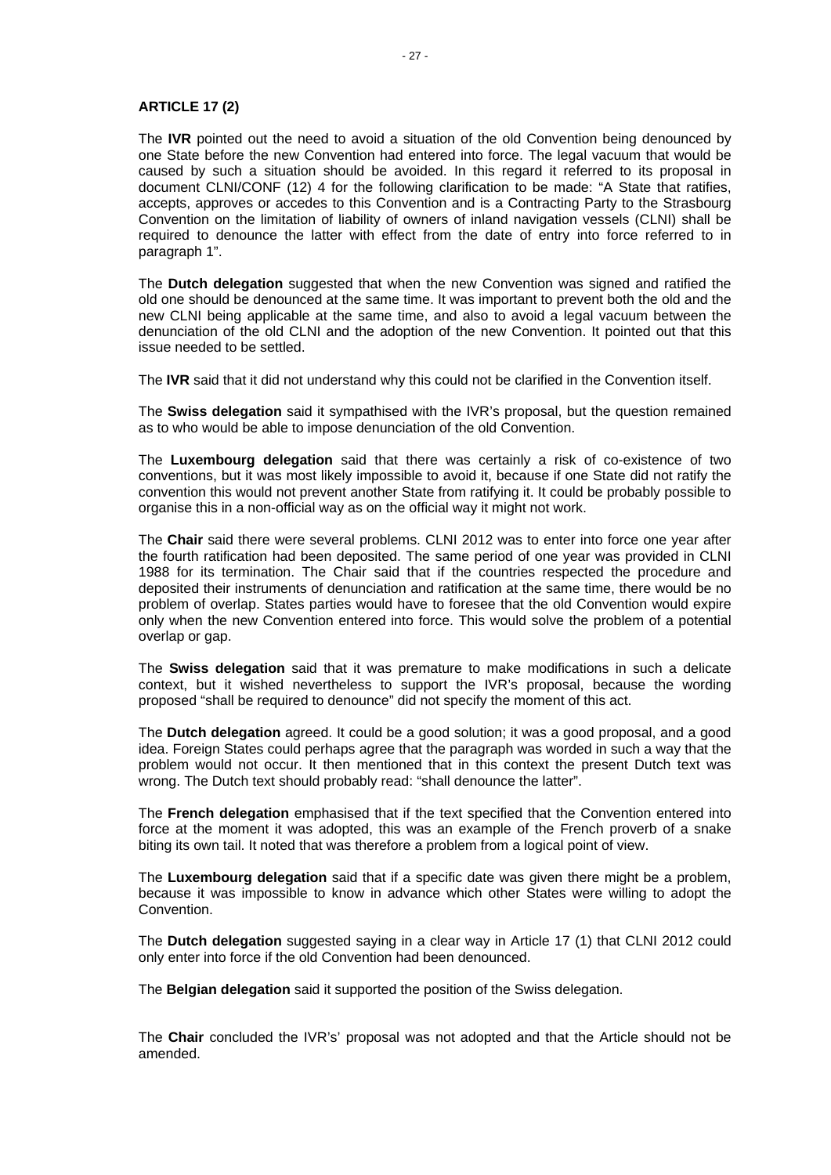## **ARTICLE 17 (2)**

The **IVR** pointed out the need to avoid a situation of the old Convention being denounced by one State before the new Convention had entered into force. The legal vacuum that would be caused by such a situation should be avoided. In this regard it referred to its proposal in document CLNI/CONF (12) 4 for the following clarification to be made: "A State that ratifies, accepts, approves or accedes to this Convention and is a Contracting Party to the Strasbourg Convention on the limitation of liability of owners of inland navigation vessels (CLNI) shall be required to denounce the latter with effect from the date of entry into force referred to in paragraph 1".

The **Dutch delegation** suggested that when the new Convention was signed and ratified the old one should be denounced at the same time. It was important to prevent both the old and the new CLNI being applicable at the same time, and also to avoid a legal vacuum between the denunciation of the old CLNI and the adoption of the new Convention. It pointed out that this issue needed to be settled.

The **IVR** said that it did not understand why this could not be clarified in the Convention itself.

The **Swiss delegation** said it sympathised with the IVR's proposal, but the question remained as to who would be able to impose denunciation of the old Convention.

The **Luxembourg delegation** said that there was certainly a risk of co-existence of two conventions, but it was most likely impossible to avoid it, because if one State did not ratify the convention this would not prevent another State from ratifying it. It could be probably possible to organise this in a non-official way as on the official way it might not work.

The **Chair** said there were several problems. CLNI 2012 was to enter into force one year after the fourth ratification had been deposited. The same period of one year was provided in CLNI 1988 for its termination. The Chair said that if the countries respected the procedure and deposited their instruments of denunciation and ratification at the same time, there would be no problem of overlap. States parties would have to foresee that the old Convention would expire only when the new Convention entered into force. This would solve the problem of a potential overlap or gap.

The **Swiss delegation** said that it was premature to make modifications in such a delicate context, but it wished nevertheless to support the IVR's proposal, because the wording proposed "shall be required to denounce" did not specify the moment of this act.

The **Dutch delegation** agreed. It could be a good solution; it was a good proposal, and a good idea. Foreign States could perhaps agree that the paragraph was worded in such a way that the problem would not occur. It then mentioned that in this context the present Dutch text was wrong. The Dutch text should probably read: "shall denounce the latter".

The **French delegation** emphasised that if the text specified that the Convention entered into force at the moment it was adopted, this was an example of the French proverb of a snake biting its own tail. It noted that was therefore a problem from a logical point of view.

The **Luxembourg delegation** said that if a specific date was given there might be a problem, because it was impossible to know in advance which other States were willing to adopt the Convention.

The **Dutch delegation** suggested saying in a clear way in Article 17 (1) that CLNI 2012 could only enter into force if the old Convention had been denounced.

The **Belgian delegation** said it supported the position of the Swiss delegation.

The **Chair** concluded the IVR's' proposal was not adopted and that the Article should not be amended.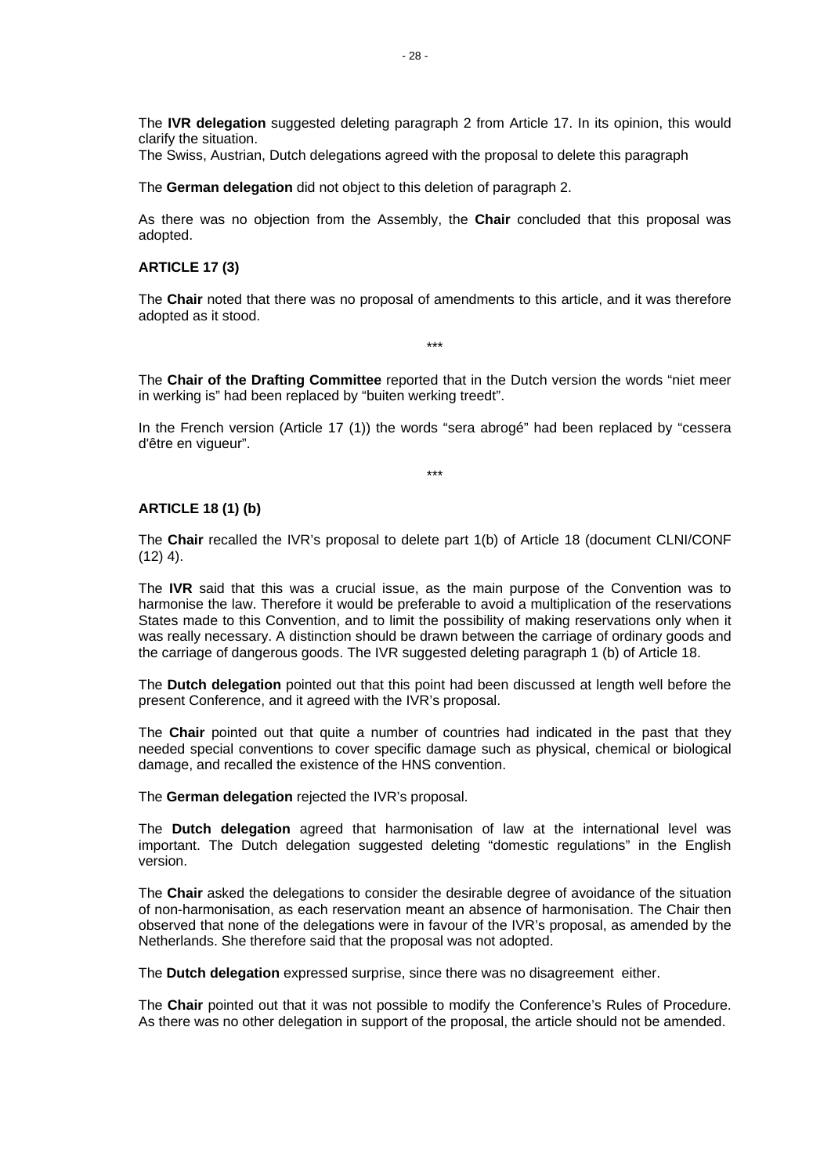The **IVR delegation** suggested deleting paragraph 2 from Article 17. In its opinion, this would clarify the situation.

The Swiss, Austrian, Dutch delegations agreed with the proposal to delete this paragraph

The **German delegation** did not object to this deletion of paragraph 2.

As there was no objection from the Assembly, the **Chair** concluded that this proposal was adopted.

## **ARTICLE 17 (3)**

The **Chair** noted that there was no proposal of amendments to this article, and it was therefore adopted as it stood.

\*\*\*

The **Chair of the Drafting Committee** reported that in the Dutch version the words "niet meer in werking is" had been replaced by "buiten werking treedt".

In the French version (Article 17 (1)) the words "sera abrogé" had been replaced by "cessera d'être en vigueur".

\*\*\*

#### **ARTICLE 18 (1) (b)**

The **Chair** recalled the IVR's proposal to delete part 1(b) of Article 18 (document CLNI/CONF  $(12)$  4).

The **IVR** said that this was a crucial issue, as the main purpose of the Convention was to harmonise the law. Therefore it would be preferable to avoid a multiplication of the reservations States made to this Convention, and to limit the possibility of making reservations only when it was really necessary. A distinction should be drawn between the carriage of ordinary goods and the carriage of dangerous goods. The IVR suggested deleting paragraph 1 (b) of Article 18.

The **Dutch delegation** pointed out that this point had been discussed at length well before the present Conference, and it agreed with the IVR's proposal.

The **Chair** pointed out that quite a number of countries had indicated in the past that they needed special conventions to cover specific damage such as physical, chemical or biological damage, and recalled the existence of the HNS convention.

The **German delegation** rejected the IVR's proposal.

The **Dutch delegation** agreed that harmonisation of law at the international level was important. The Dutch delegation suggested deleting "domestic regulations" in the English version.

The **Chair** asked the delegations to consider the desirable degree of avoidance of the situation of non-harmonisation, as each reservation meant an absence of harmonisation. The Chair then observed that none of the delegations were in favour of the IVR's proposal, as amended by the Netherlands. She therefore said that the proposal was not adopted.

The **Dutch delegation** expressed surprise, since there was no disagreement either.

The **Chair** pointed out that it was not possible to modify the Conference's Rules of Procedure. As there was no other delegation in support of the proposal, the article should not be amended.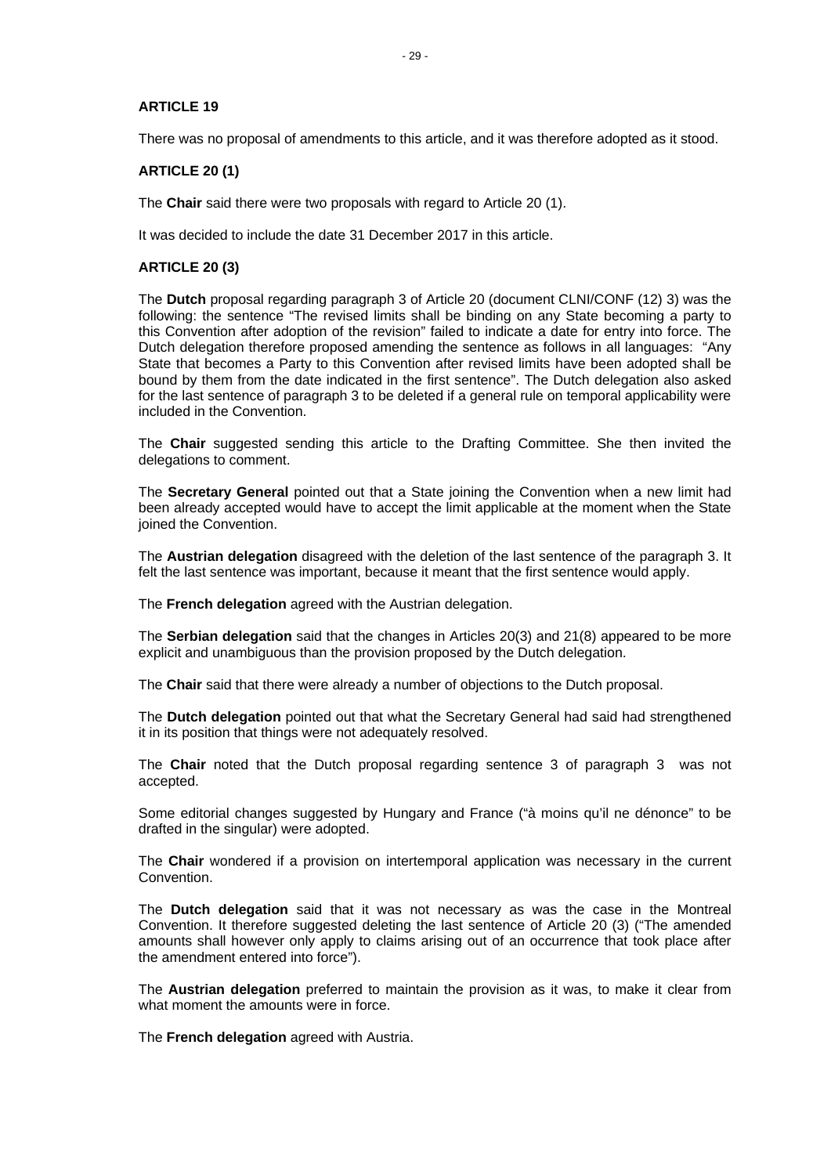## **ARTICLE 19**

There was no proposal of amendments to this article, and it was therefore adopted as it stood.

# **ARTICLE 20 (1)**

The **Chair** said there were two proposals with regard to Article 20 (1).

It was decided to include the date 31 December 2017 in this article.

# **ARTICLE 20 (3)**

The **Dutch** proposal regarding paragraph 3 of Article 20 (document CLNI/CONF (12) 3) was the following: the sentence "The revised limits shall be binding on any State becoming a party to this Convention after adoption of the revision" failed to indicate a date for entry into force. The Dutch delegation therefore proposed amending the sentence as follows in all languages: "Any State that becomes a Party to this Convention after revised limits have been adopted shall be bound by them from the date indicated in the first sentence". The Dutch delegation also asked for the last sentence of paragraph 3 to be deleted if a general rule on temporal applicability were included in the Convention.

The **Chair** suggested sending this article to the Drafting Committee. She then invited the delegations to comment.

The **Secretary General** pointed out that a State joining the Convention when a new limit had been already accepted would have to accept the limit applicable at the moment when the State joined the Convention.

The **Austrian delegation** disagreed with the deletion of the last sentence of the paragraph 3. It felt the last sentence was important, because it meant that the first sentence would apply.

The **French delegation** agreed with the Austrian delegation.

The **Serbian delegation** said that the changes in Articles 20(3) and 21(8) appeared to be more explicit and unambiguous than the provision proposed by the Dutch delegation.

The **Chair** said that there were already a number of objections to the Dutch proposal.

The **Dutch delegation** pointed out that what the Secretary General had said had strengthened it in its position that things were not adequately resolved.

The **Chair** noted that the Dutch proposal regarding sentence 3 of paragraph 3 was not accepted.

Some editorial changes suggested by Hungary and France ("à moins qu'il ne dénonce" to be drafted in the singular) were adopted.

The **Chair** wondered if a provision on intertemporal application was necessary in the current Convention.

The **Dutch delegation** said that it was not necessary as was the case in the Montreal Convention. It therefore suggested deleting the last sentence of Article 20 (3) ("The amended amounts shall however only apply to claims arising out of an occurrence that took place after the amendment entered into force").

The **Austrian delegation** preferred to maintain the provision as it was, to make it clear from what moment the amounts were in force.

The **French delegation** agreed with Austria.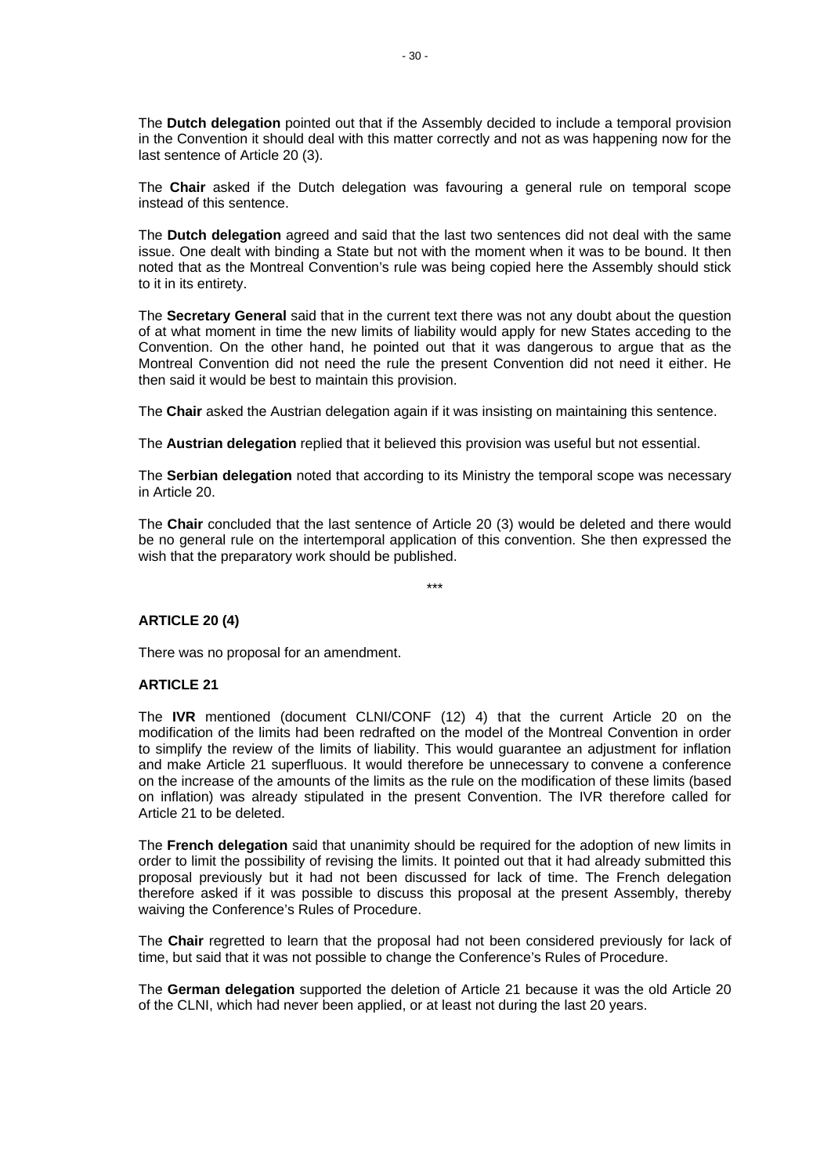The **Dutch delegation** pointed out that if the Assembly decided to include a temporal provision in the Convention it should deal with this matter correctly and not as was happening now for the last sentence of Article 20 (3).

The **Chair** asked if the Dutch delegation was favouring a general rule on temporal scope instead of this sentence.

The **Dutch delegation** agreed and said that the last two sentences did not deal with the same issue. One dealt with binding a State but not with the moment when it was to be bound. It then noted that as the Montreal Convention's rule was being copied here the Assembly should stick to it in its entirety.

The **Secretary General** said that in the current text there was not any doubt about the question of at what moment in time the new limits of liability would apply for new States acceding to the Convention. On the other hand, he pointed out that it was dangerous to argue that as the Montreal Convention did not need the rule the present Convention did not need it either. He then said it would be best to maintain this provision.

The **Chair** asked the Austrian delegation again if it was insisting on maintaining this sentence.

The **Austrian delegation** replied that it believed this provision was useful but not essential.

The **Serbian delegation** noted that according to its Ministry the temporal scope was necessary in Article 20.

The **Chair** concluded that the last sentence of Article 20 (3) would be deleted and there would be no general rule on the intertemporal application of this convention. She then expressed the wish that the preparatory work should be published.

\*\*\*

# **ARTICLE 20 (4)**

There was no proposal for an amendment.

#### **ARTICLE 21**

The **IVR** mentioned (document CLNI/CONF (12) 4) that the current Article 20 on the modification of the limits had been redrafted on the model of the Montreal Convention in order to simplify the review of the limits of liability. This would guarantee an adjustment for inflation and make Article 21 superfluous. It would therefore be unnecessary to convene a conference on the increase of the amounts of the limits as the rule on the modification of these limits (based on inflation) was already stipulated in the present Convention. The IVR therefore called for Article 21 to be deleted.

The **French delegation** said that unanimity should be required for the adoption of new limits in order to limit the possibility of revising the limits. It pointed out that it had already submitted this proposal previously but it had not been discussed for lack of time. The French delegation therefore asked if it was possible to discuss this proposal at the present Assembly, thereby waiving the Conference's Rules of Procedure.

The **Chair** regretted to learn that the proposal had not been considered previously for lack of time, but said that it was not possible to change the Conference's Rules of Procedure.

The **German delegation** supported the deletion of Article 21 because it was the old Article 20 of the CLNI, which had never been applied, or at least not during the last 20 years.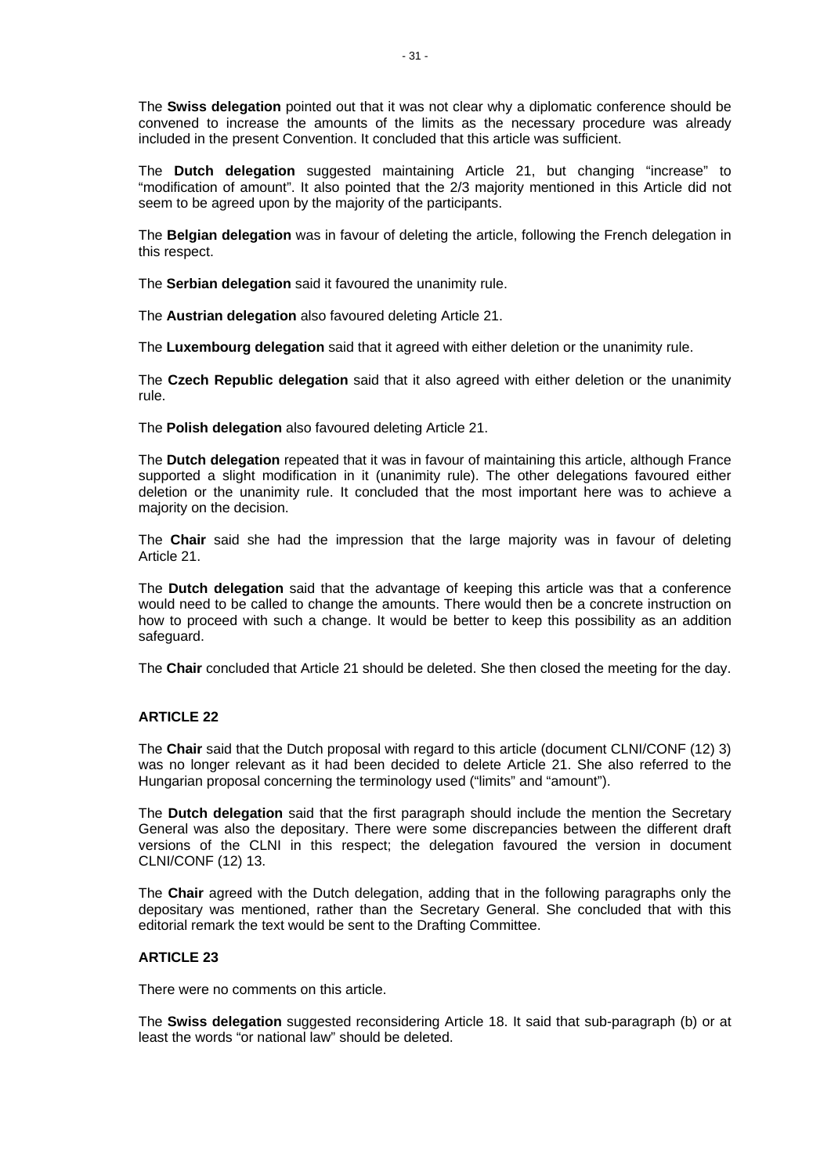The **Swiss delegation** pointed out that it was not clear why a diplomatic conference should be convened to increase the amounts of the limits as the necessary procedure was already included in the present Convention. It concluded that this article was sufficient.

The **Dutch delegation** suggested maintaining Article 21, but changing "increase" to "modification of amount". It also pointed that the 2/3 majority mentioned in this Article did not seem to be agreed upon by the majority of the participants.

The **Belgian delegation** was in favour of deleting the article, following the French delegation in this respect.

The **Serbian delegation** said it favoured the unanimity rule.

The **Austrian delegation** also favoured deleting Article 21.

The **Luxembourg delegation** said that it agreed with either deletion or the unanimity rule.

The **Czech Republic delegation** said that it also agreed with either deletion or the unanimity rule.

The **Polish delegation** also favoured deleting Article 21.

The **Dutch delegation** repeated that it was in favour of maintaining this article, although France supported a slight modification in it (unanimity rule). The other delegations favoured either deletion or the unanimity rule. It concluded that the most important here was to achieve a majority on the decision.

The **Chair** said she had the impression that the large majority was in favour of deleting Article 21.

The **Dutch delegation** said that the advantage of keeping this article was that a conference would need to be called to change the amounts. There would then be a concrete instruction on how to proceed with such a change. It would be better to keep this possibility as an addition safeguard.

The **Chair** concluded that Article 21 should be deleted. She then closed the meeting for the day.

# **ARTICLE 22**

The **Chair** said that the Dutch proposal with regard to this article (document CLNI/CONF (12) 3) was no longer relevant as it had been decided to delete Article 21. She also referred to the Hungarian proposal concerning the terminology used ("limits" and "amount").

The **Dutch delegation** said that the first paragraph should include the mention the Secretary General was also the depositary. There were some discrepancies between the different draft versions of the CLNI in this respect; the delegation favoured the version in document CLNI/CONF (12) 13.

The **Chair** agreed with the Dutch delegation, adding that in the following paragraphs only the depositary was mentioned, rather than the Secretary General. She concluded that with this editorial remark the text would be sent to the Drafting Committee.

#### **ARTICLE 23**

There were no comments on this article.

The **Swiss delegation** suggested reconsidering Article 18. It said that sub-paragraph (b) or at least the words "or national law" should be deleted.